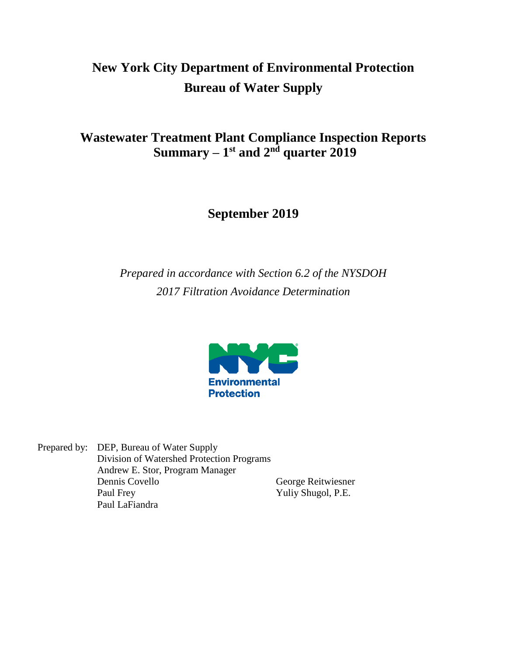# **New York City Department of Environmental Protection Bureau of Water Supply**

**Wastewater Treatment Plant Compliance Inspection Reports Summary – 1 st and 2 nd quarter 2019**

## **September 2019**

## *Prepared in accordance with Section 6.2 of the NYSDOH 2017 Filtration Avoidance Determination*



Prepared by: DEP, Bureau of Water Supply Division of Watershed Protection Programs Andrew E. Stor, Program Manager Dennis Covello George Reitwiesner Paul Frey Yuliy Shugol, P.E. Paul LaFiandra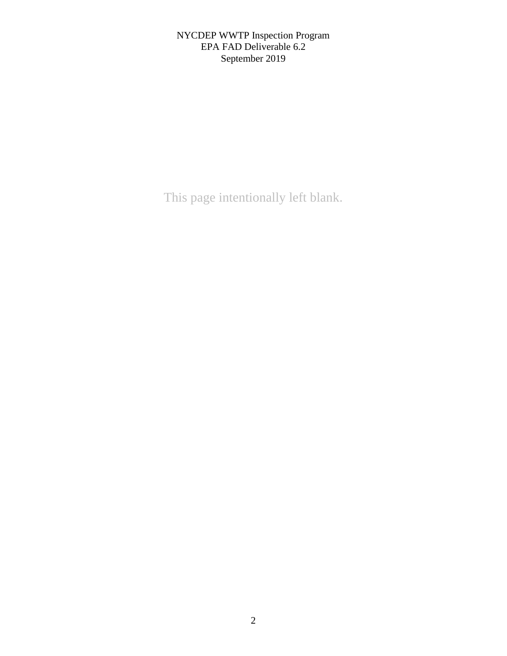This page intentionally left blank.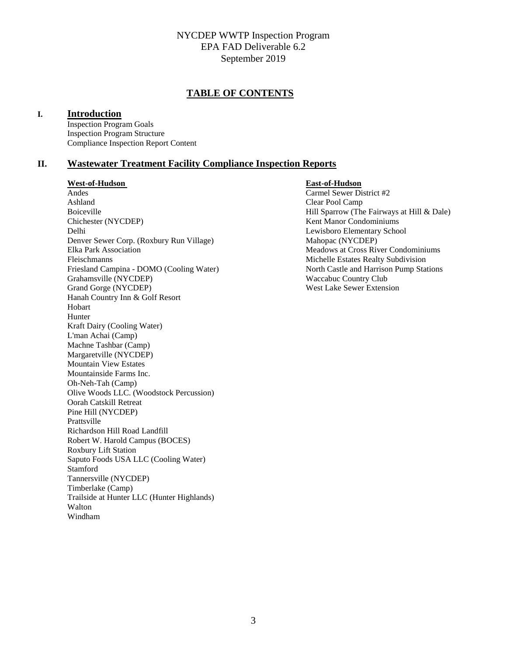## **TABLE OF CONTENTS**

#### **I. Introduction**

Inspection Program Goals Inspection Program Structure Compliance Inspection Report Content

#### **II. Wastewater Treatment Facility Compliance Inspection Reports**

#### **West-of-Hudson East-of-Hudson**

Ashland Clear Pool Camp Boiceville **Hill Sparrow** (The Fairways at Hill & Dale) Chichester (NYCDEP) Kent Manor Condominiums Delhi Lewisboro Elementary School Denver Sewer Corp. (Roxbury Run Village) Mahopac (NYCDEP) Elka Park Association **Meadows at Cross River Condominiums** Meadows at Cross River Condominiums Fleischmanns Michelle Estates Realty Subdivision Friesland Campina - DOMO (Cooling Water) North Castle and Harrison Pump Stations Grahamsville (NYCDEP) Waccabuc Country Club<br>Grand Gorge (NYCDEP) West Lake Sewer Extens Hanah Country Inn & Golf Resort Hobart Hunter Kraft Dairy (Cooling Water) L'man Achai (Camp) Machne Tashbar (Camp) Margaretville (NYCDEP) Mountain View Estates Mountainside Farms Inc. Oh-Neh-Tah (Camp) Olive Woods LLC. (Woodstock Percussion) Oorah Catskill Retreat Pine Hill (NYCDEP) Prattsville Richardson Hill Road Landfill Robert W. Harold Campus (BOCES) Roxbury Lift Station Saputo Foods USA LLC (Cooling Water) Stamford Tannersville (NYCDEP) Timberlake (Camp) Trailside at Hunter LLC (Hunter Highlands) Walton Windham

Andes Carmel Sewer District #2 West Lake Sewer Extension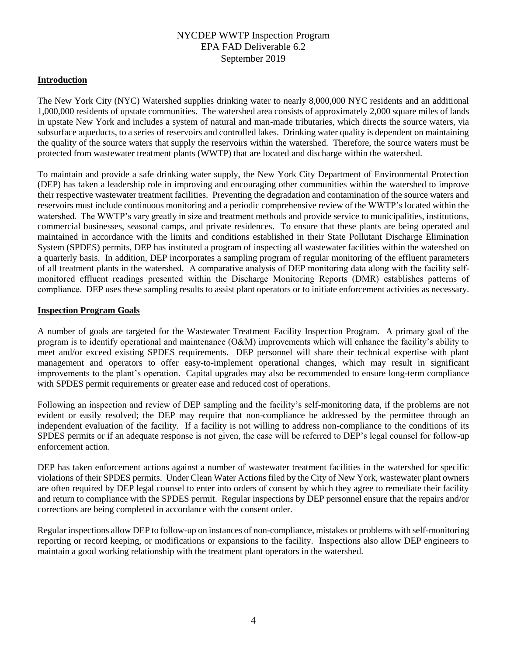## **Introduction**

The New York City (NYC) Watershed supplies drinking water to nearly 8,000,000 NYC residents and an additional 1,000,000 residents of upstate communities. The watershed area consists of approximately 2,000 square miles of lands in upstate New York and includes a system of natural and man-made tributaries, which directs the source waters, via subsurface aqueducts, to a series of reservoirs and controlled lakes. Drinking water quality is dependent on maintaining the quality of the source waters that supply the reservoirs within the watershed. Therefore, the source waters must be protected from wastewater treatment plants (WWTP) that are located and discharge within the watershed.

To maintain and provide a safe drinking water supply, the New York City Department of Environmental Protection (DEP) has taken a leadership role in improving and encouraging other communities within the watershed to improve their respective wastewater treatment facilities. Preventing the degradation and contamination of the source waters and reservoirs must include continuous monitoring and a periodic comprehensive review of the WWTP's located within the watershed. The WWTP's vary greatly in size and treatment methods and provide service to municipalities, institutions, commercial businesses, seasonal camps, and private residences. To ensure that these plants are being operated and maintained in accordance with the limits and conditions established in their State Pollutant Discharge Elimination System (SPDES) permits, DEP has instituted a program of inspecting all wastewater facilities within the watershed on a quarterly basis. In addition, DEP incorporates a sampling program of regular monitoring of the effluent parameters of all treatment plants in the watershed. A comparative analysis of DEP monitoring data along with the facility selfmonitored effluent readings presented within the Discharge Monitoring Reports (DMR) establishes patterns of compliance. DEP uses these sampling results to assist plant operators or to initiate enforcement activities as necessary.

#### **Inspection Program Goals**

A number of goals are targeted for the Wastewater Treatment Facility Inspection Program. A primary goal of the program is to identify operational and maintenance (O&M) improvements which will enhance the facility's ability to meet and/or exceed existing SPDES requirements. DEP personnel will share their technical expertise with plant management and operators to offer easy-to-implement operational changes, which may result in significant improvements to the plant's operation. Capital upgrades may also be recommended to ensure long-term compliance with SPDES permit requirements or greater ease and reduced cost of operations.

Following an inspection and review of DEP sampling and the facility's self-monitoring data, if the problems are not evident or easily resolved; the DEP may require that non-compliance be addressed by the permittee through an independent evaluation of the facility. If a facility is not willing to address non-compliance to the conditions of its SPDES permits or if an adequate response is not given, the case will be referred to DEP's legal counsel for follow-up enforcement action.

DEP has taken enforcement actions against a number of wastewater treatment facilities in the watershed for specific violations of their SPDES permits. Under Clean Water Actions filed by the City of New York, wastewater plant owners are often required by DEP legal counsel to enter into orders of consent by which they agree to remediate their facility and return to compliance with the SPDES permit. Regular inspections by DEP personnel ensure that the repairs and/or corrections are being completed in accordance with the consent order.

Regular inspections allow DEP to follow-up on instances of non-compliance, mistakes or problems with self-monitoring reporting or record keeping, or modifications or expansions to the facility. Inspections also allow DEP engineers to maintain a good working relationship with the treatment plant operators in the watershed.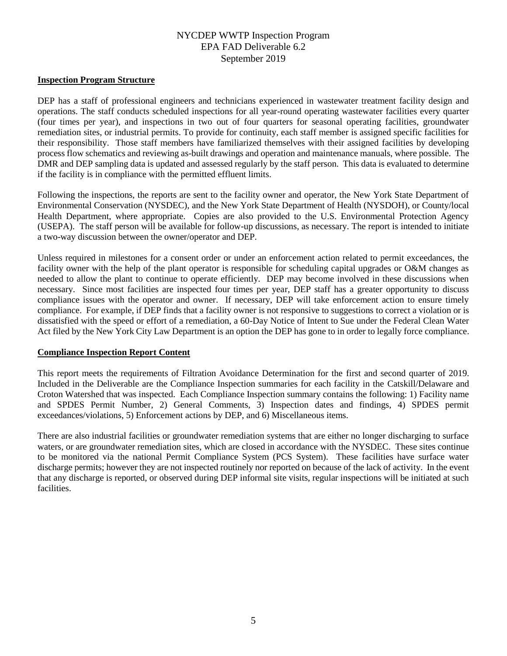#### **Inspection Program Structure**

DEP has a staff of professional engineers and technicians experienced in wastewater treatment facility design and operations. The staff conducts scheduled inspections for all year-round operating wastewater facilities every quarter (four times per year), and inspections in two out of four quarters for seasonal operating facilities, groundwater remediation sites, or industrial permits. To provide for continuity, each staff member is assigned specific facilities for their responsibility. Those staff members have familiarized themselves with their assigned facilities by developing process flow schematics and reviewing as-built drawings and operation and maintenance manuals, where possible. The DMR and DEP sampling data is updated and assessed regularly by the staff person. This data is evaluated to determine if the facility is in compliance with the permitted effluent limits.

Following the inspections, the reports are sent to the facility owner and operator, the New York State Department of Environmental Conservation (NYSDEC), and the New York State Department of Health (NYSDOH), or County/local Health Department, where appropriate. Copies are also provided to the U.S. Environmental Protection Agency (USEPA). The staff person will be available for follow-up discussions, as necessary. The report is intended to initiate a two-way discussion between the owner/operator and DEP.

Unless required in milestones for a consent order or under an enforcement action related to permit exceedances, the facility owner with the help of the plant operator is responsible for scheduling capital upgrades or O&M changes as needed to allow the plant to continue to operate efficiently. DEP may become involved in these discussions when necessary. Since most facilities are inspected four times per year, DEP staff has a greater opportunity to discuss compliance issues with the operator and owner. If necessary, DEP will take enforcement action to ensure timely compliance. For example, if DEP finds that a facility owner is not responsive to suggestions to correct a violation or is dissatisfied with the speed or effort of a remediation, a 60-Day Notice of Intent to Sue under the Federal Clean Water Act filed by the New York City Law Department is an option the DEP has gone to in order to legally force compliance.

#### **Compliance Inspection Report Content**

This report meets the requirements of Filtration Avoidance Determination for the first and second quarter of 2019. Included in the Deliverable are the Compliance Inspection summaries for each facility in the Catskill/Delaware and Croton Watershed that was inspected. Each Compliance Inspection summary contains the following: 1) Facility name and SPDES Permit Number, 2) General Comments, 3) Inspection dates and findings, 4) SPDES permit exceedances/violations, 5) Enforcement actions by DEP, and 6) Miscellaneous items.

There are also industrial facilities or groundwater remediation systems that are either no longer discharging to surface waters, or are groundwater remediation sites, which are closed in accordance with the NYSDEC. These sites continue to be monitored via the national Permit Compliance System (PCS System). These facilities have surface water discharge permits; however they are not inspected routinely nor reported on because of the lack of activity. In the event that any discharge is reported, or observed during DEP informal site visits, regular inspections will be initiated at such facilities.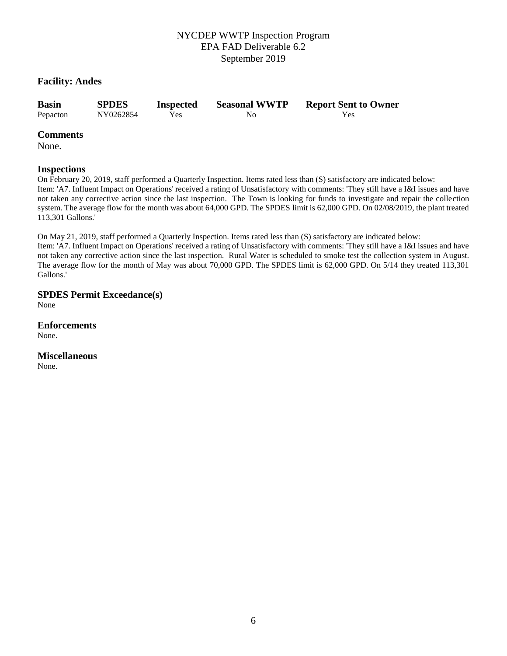## **Facility: Andes**

| <b>Basin</b> | <b>SPDES</b> | <b>Inspected</b> | <b>Seasonal WWTP</b> | <b>Report Sent to Owner</b> |
|--------------|--------------|------------------|----------------------|-----------------------------|
| Pepacton     | NY0262854    | Yes              | No.                  | Yes                         |

#### **Comments**

None.

#### **Inspections**

On February 20, 2019, staff performed a Quarterly Inspection. Items rated less than (S) satisfactory are indicated below: Item: 'A7. Influent Impact on Operations' received a rating of Unsatisfactory with comments: 'They still have a I&I issues and have not taken any corrective action since the last inspection. The Town is looking for funds to investigate and repair the collection system. The average flow for the month was about 64,000 GPD. The SPDES limit is 62,000 GPD. On 02/08/2019, the plant treated 113,301 Gallons.'

On May 21, 2019, staff performed a Quarterly Inspection. Items rated less than (S) satisfactory are indicated below: Item: 'A7. Influent Impact on Operations' received a rating of Unsatisfactory with comments: 'They still have a I&I issues and have not taken any corrective action since the last inspection. Rural Water is scheduled to smoke test the collection system in August. The average flow for the month of May was about 70,000 GPD. The SPDES limit is 62,000 GPD. On 5/14 they treated 113,301 Gallons.'

#### **SPDES Permit Exceedance(s)**

None

**Enforcements**

None.

## **Miscellaneous**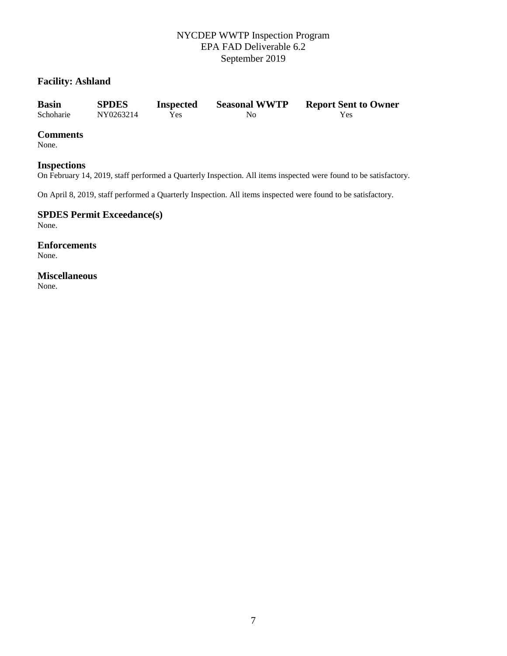## **Facility: Ashland**

| <b>Basin</b> | <b>SPDES</b> | <b>Inspected</b> | <b>Seasonal WWTP</b> | <b>Report Sent to Owner</b> |
|--------------|--------------|------------------|----------------------|-----------------------------|
| Schoharie    | NY0263214    | Yes              | No                   | Yes                         |

#### **Comments**

None.

#### **Inspections**

On February 14, 2019, staff performed a Quarterly Inspection. All items inspected were found to be satisfactory.

On April 8, 2019, staff performed a Quarterly Inspection. All items inspected were found to be satisfactory.

#### **SPDES Permit Exceedance(s)** None.

**Enforcements** None.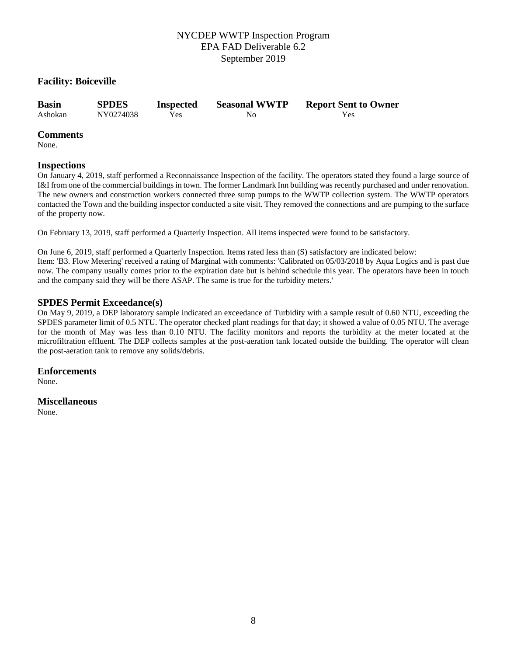## **Facility: Boiceville**

| <b>Basin</b> | <b>SPDES</b> | <b>Inspected</b> | <b>Seasonal WWTP</b> | <b>Report Sent to Owner</b> |
|--------------|--------------|------------------|----------------------|-----------------------------|
| Ashokan      | NY0274038    | Yes.             | No                   | Yes                         |

#### **Comments**

None.

#### **Inspections**

On January 4, 2019, staff performed a Reconnaissance Inspection of the facility. The operators stated they found a large source of I&I from one of the commercial buildings in town. The former Landmark Inn building was recently purchased and under renovation. The new owners and construction workers connected three sump pumps to the WWTP collection system. The WWTP operators contacted the Town and the building inspector conducted a site visit. They removed the connections and are pumping to the surface of the property now.

On February 13, 2019, staff performed a Quarterly Inspection. All items inspected were found to be satisfactory.

On June 6, 2019, staff performed a Quarterly Inspection. Items rated less than (S) satisfactory are indicated below: Item: 'B3. Flow Metering' received a rating of Marginal with comments: 'Calibrated on 05/03/2018 by Aqua Logics and is past due now. The company usually comes prior to the expiration date but is behind schedule this year. The operators have been in touch and the company said they will be there ASAP. The same is true for the turbidity meters.'

## **SPDES Permit Exceedance(s)**

On May 9, 2019, a DEP laboratory sample indicated an exceedance of Turbidity with a sample result of 0.60 NTU, exceeding the SPDES parameter limit of 0.5 NTU. The operator checked plant readings for that day; it showed a value of 0.05 NTU. The average for the month of May was less than 0.10 NTU. The facility monitors and reports the turbidity at the meter located at the microfiltration effluent. The DEP collects samples at the post-aeration tank located outside the building. The operator will clean the post-aeration tank to remove any solids/debris.

#### **Enforcements**

None.

#### **Miscellaneous**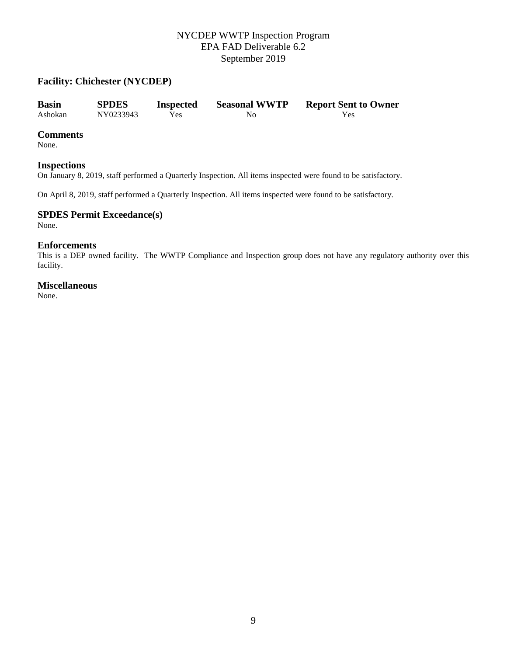## **Facility: Chichester (NYCDEP)**

| <b>Basin</b> | <b>SPDES</b> | <b>Inspected</b> | <b>Seasonal WWTP</b> | <b>Report Sent to Owner</b> |
|--------------|--------------|------------------|----------------------|-----------------------------|
| Ashokan      | NY0233943    | Yes              | No.                  | Yes.                        |

#### **Comments**

None.

#### **Inspections**

On January 8, 2019, staff performed a Quarterly Inspection. All items inspected were found to be satisfactory.

On April 8, 2019, staff performed a Quarterly Inspection. All items inspected were found to be satisfactory.

### **SPDES Permit Exceedance(s)**

None.

#### **Enforcements**

This is a DEP owned facility. The WWTP Compliance and Inspection group does not have any regulatory authority over this facility.

## **Miscellaneous**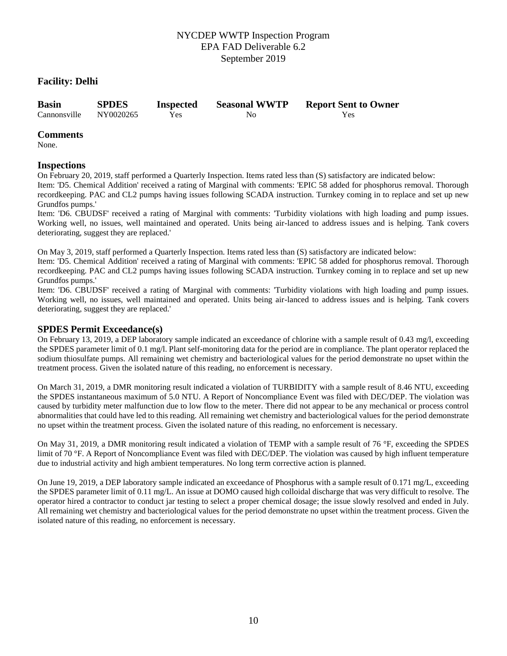## **Facility: Delhi**

| <b>Basin</b> | <b>SPDES</b> | <b>Inspected</b> | Seasonal WWTP | <b>Report Sent to Owner</b> |
|--------------|--------------|------------------|---------------|-----------------------------|
| Cannonsville | NY0020265    | Yes              | No.           | Yes                         |

#### **Comments**

None.

#### **Inspections**

On February 20, 2019, staff performed a Quarterly Inspection. Items rated less than (S) satisfactory are indicated below: Item: 'D5. Chemical Addition' received a rating of Marginal with comments: 'EPIC 58 added for phosphorus removal. Thorough recordkeeping. PAC and CL2 pumps having issues following SCADA instruction. Turnkey coming in to replace and set up new Grundfos pumps.'

Item: 'D6. CBUDSF' received a rating of Marginal with comments: 'Turbidity violations with high loading and pump issues. Working well, no issues, well maintained and operated. Units being air-lanced to address issues and is helping. Tank covers deteriorating, suggest they are replaced.'

On May 3, 2019, staff performed a Quarterly Inspection. Items rated less than (S) satisfactory are indicated below:

Item: 'D5. Chemical Addition' received a rating of Marginal with comments: 'EPIC 58 added for phosphorus removal. Thorough recordkeeping. PAC and CL2 pumps having issues following SCADA instruction. Turnkey coming in to replace and set up new Grundfos pumps.'

Item: 'D6. CBUDSF' received a rating of Marginal with comments: 'Turbidity violations with high loading and pump issues. Working well, no issues, well maintained and operated. Units being air-lanced to address issues and is helping. Tank covers deteriorating, suggest they are replaced.'

#### **SPDES Permit Exceedance(s)**

On February 13, 2019, a DEP laboratory sample indicated an exceedance of chlorine with a sample result of 0.43 mg/l, exceeding the SPDES parameter limit of 0.1 mg/l. Plant self-monitoring data for the period are in compliance. The plant operator replaced the sodium thiosulfate pumps. All remaining wet chemistry and bacteriological values for the period demonstrate no upset within the treatment process. Given the isolated nature of this reading, no enforcement is necessary.

On March 31, 2019, a DMR monitoring result indicated a violation of TURBIDITY with a sample result of 8.46 NTU, exceeding the SPDES instantaneous maximum of 5.0 NTU. A Report of Noncompliance Event was filed with DEC/DEP. The violation was caused by turbidity meter malfunction due to low flow to the meter. There did not appear to be any mechanical or process control abnormalities that could have led to this reading. All remaining wet chemistry and bacteriological values for the period demonstrate no upset within the treatment process. Given the isolated nature of this reading, no enforcement is necessary.

On May 31, 2019, a DMR monitoring result indicated a violation of TEMP with a sample result of 76 °F, exceeding the SPDES limit of 70 °F. A Report of Noncompliance Event was filed with DEC/DEP. The violation was caused by high influent temperature due to industrial activity and high ambient temperatures. No long term corrective action is planned.

On June 19, 2019, a DEP laboratory sample indicated an exceedance of Phosphorus with a sample result of 0.171 mg/L, exceeding the SPDES parameter limit of 0.11 mg/L. An issue at DOMO caused high colloidal discharge that was very difficult to resolve. The operator hired a contractor to conduct jar testing to select a proper chemical dosage; the issue slowly resolved and ended in July. All remaining wet chemistry and bacteriological values for the period demonstrate no upset within the treatment process. Given the isolated nature of this reading, no enforcement is necessary.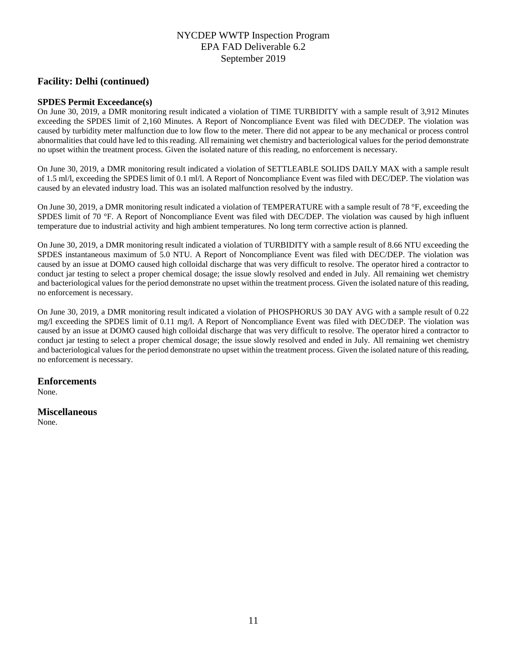## **Facility: Delhi (continued)**

#### **SPDES Permit Exceedance(s)**

On June 30, 2019, a DMR monitoring result indicated a violation of TIME TURBIDITY with a sample result of 3,912 Minutes exceeding the SPDES limit of 2,160 Minutes. A Report of Noncompliance Event was filed with DEC/DEP. The violation was caused by turbidity meter malfunction due to low flow to the meter. There did not appear to be any mechanical or process control abnormalities that could have led to this reading. All remaining wet chemistry and bacteriological values for the period demonstrate no upset within the treatment process. Given the isolated nature of this reading, no enforcement is necessary.

On June 30, 2019, a DMR monitoring result indicated a violation of SETTLEABLE SOLIDS DAILY MAX with a sample result of 1.5 ml/l, exceeding the SPDES limit of 0.1 ml/l. A Report of Noncompliance Event was filed with DEC/DEP. The violation was caused by an elevated industry load. This was an isolated malfunction resolved by the industry.

On June 30, 2019, a DMR monitoring result indicated a violation of TEMPERATURE with a sample result of 78 °F, exceeding the SPDES limit of 70 °F. A Report of Noncompliance Event was filed with DEC/DEP. The violation was caused by high influent temperature due to industrial activity and high ambient temperatures. No long term corrective action is planned.

On June 30, 2019, a DMR monitoring result indicated a violation of TURBIDITY with a sample result of 8.66 NTU exceeding the SPDES instantaneous maximum of 5.0 NTU. A Report of Noncompliance Event was filed with DEC/DEP. The violation was caused by an issue at DOMO caused high colloidal discharge that was very difficult to resolve. The operator hired a contractor to conduct jar testing to select a proper chemical dosage; the issue slowly resolved and ended in July. All remaining wet chemistry and bacteriological values for the period demonstrate no upset within the treatment process. Given the isolated nature of this reading, no enforcement is necessary.

On June 30, 2019, a DMR monitoring result indicated a violation of PHOSPHORUS 30 DAY AVG with a sample result of 0.22 mg/l exceeding the SPDES limit of 0.11 mg/l. A Report of Noncompliance Event was filed with DEC/DEP. The violation was caused by an issue at DOMO caused high colloidal discharge that was very difficult to resolve. The operator hired a contractor to conduct jar testing to select a proper chemical dosage; the issue slowly resolved and ended in July. All remaining wet chemistry and bacteriological values for the period demonstrate no upset within the treatment process. Given the isolated nature of this reading, no enforcement is necessary.

#### **Enforcements**

None.

## **Miscellaneous**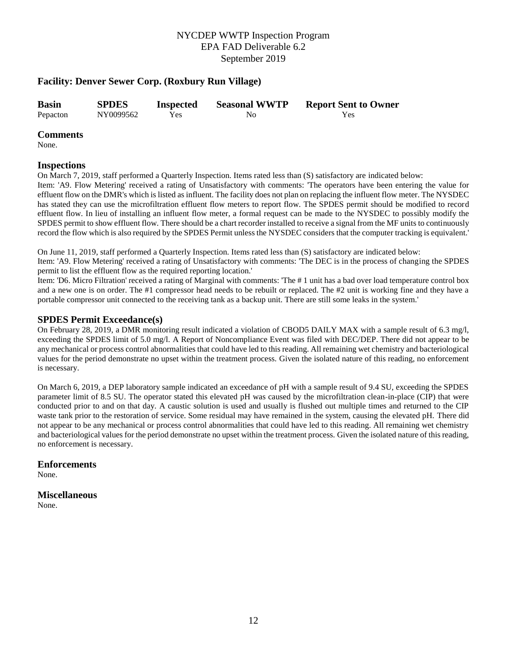## **Facility: Denver Sewer Corp. (Roxbury Run Village)**

| <b>Basin</b> | <b>SPDES</b> | <b>Inspected</b> | <b>Seasonal WWTP</b> | <b>Report Sent to Owner</b> |
|--------------|--------------|------------------|----------------------|-----------------------------|
| Pepacton     | NY0099562    | Yes              | No.                  | Yes                         |

#### **Comments**

None.

#### **Inspections**

On March 7, 2019, staff performed a Quarterly Inspection. Items rated less than (S) satisfactory are indicated below:

Item: 'A9. Flow Metering' received a rating of Unsatisfactory with comments: 'The operators have been entering the value for effluent flow on the DMR's which is listed as influent. The facility does not plan on replacing the influent flow meter. The NYSDEC has stated they can use the microfiltration effluent flow meters to report flow. The SPDES permit should be modified to record effluent flow. In lieu of installing an influent flow meter, a formal request can be made to the NYSDEC to possibly modify the SPDES permit to show effluent flow. There should be a chart recorder installed to receive a signal from the MF units to continuously record the flow which is also required by the SPDES Permit unless the NYSDEC considers that the computer tracking is equivalent.'

On June 11, 2019, staff performed a Quarterly Inspection. Items rated less than (S) satisfactory are indicated below: Item: 'A9. Flow Metering' received a rating of Unsatisfactory with comments: 'The DEC is in the process of changing the SPDES permit to list the effluent flow as the required reporting location.'

Item: 'D6. Micro Filtration' received a rating of Marginal with comments: 'The # 1 unit has a bad over load temperature control box and a new one is on order. The #1 compressor head needs to be rebuilt or replaced. The #2 unit is working fine and they have a portable compressor unit connected to the receiving tank as a backup unit. There are still some leaks in the system.'

## **SPDES Permit Exceedance(s)**

On February 28, 2019, a DMR monitoring result indicated a violation of CBOD5 DAILY MAX with a sample result of 6.3 mg/l, exceeding the SPDES limit of 5.0 mg/l. A Report of Noncompliance Event was filed with DEC/DEP. There did not appear to be any mechanical or process control abnormalities that could have led to this reading. All remaining wet chemistry and bacteriological values for the period demonstrate no upset within the treatment process. Given the isolated nature of this reading, no enforcement is necessary.

On March 6, 2019, a DEP laboratory sample indicated an exceedance of pH with a sample result of 9.4 SU, exceeding the SPDES parameter limit of 8.5 SU. The operator stated this elevated pH was caused by the microfiltration clean-in-place (CIP) that were conducted prior to and on that day. A caustic solution is used and usually is flushed out multiple times and returned to the CIP waste tank prior to the restoration of service. Some residual may have remained in the system, causing the elevated pH. There did not appear to be any mechanical or process control abnormalities that could have led to this reading. All remaining wet chemistry and bacteriological values for the period demonstrate no upset within the treatment process. Given the isolated nature of this reading, no enforcement is necessary.

**Enforcements**

None.

**Miscellaneous**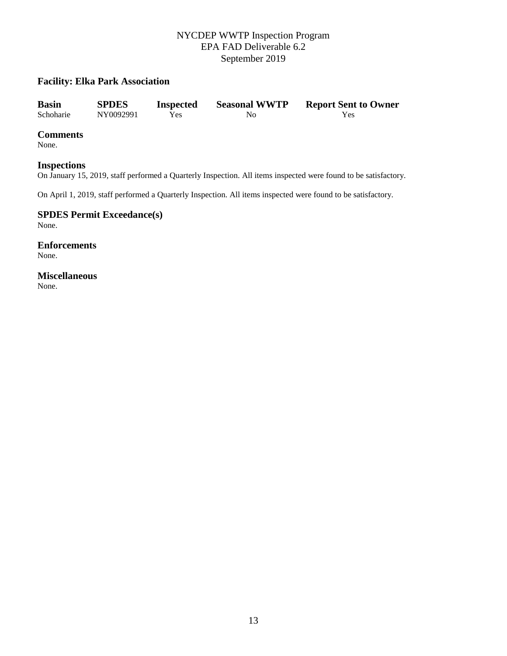## **Facility: Elka Park Association**

| <b>Basin</b> | <b>SPDES</b> | <b>Inspected</b> | <b>Seasonal WWTP</b> | <b>Report Sent to Owner</b> |
|--------------|--------------|------------------|----------------------|-----------------------------|
| Schoharie    | NY0092991    | Yes              | No                   | Yes                         |

#### **Comments**

None.

#### **Inspections**

On January 15, 2019, staff performed a Quarterly Inspection. All items inspected were found to be satisfactory.

On April 1, 2019, staff performed a Quarterly Inspection. All items inspected were found to be satisfactory.

**SPDES Permit Exceedance(s)** None.

**Enforcements** None.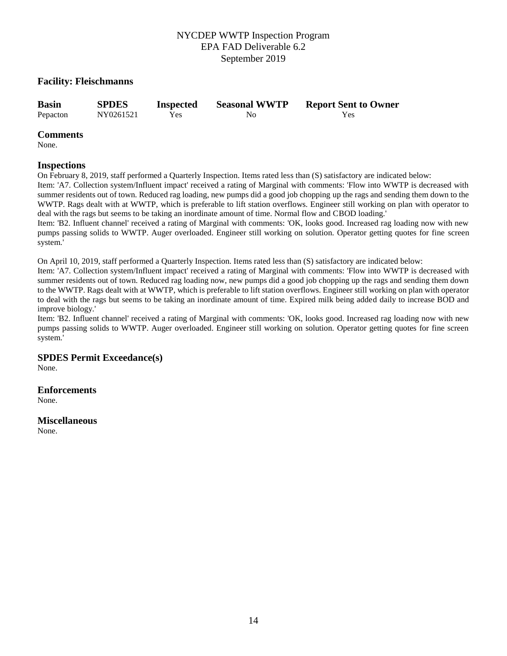#### **Facility: Fleischmanns**

| <b>Basin</b> | <b>SPDES</b> | <b>Inspected</b> | <b>Seasonal WWTP</b> | <b>Report Sent to Owner</b> |
|--------------|--------------|------------------|----------------------|-----------------------------|
| Pepacton     | NY0261521    | Yes              | No.                  | Yes                         |

#### **Comments**

None.

#### **Inspections**

On February 8, 2019, staff performed a Quarterly Inspection. Items rated less than (S) satisfactory are indicated below:

Item: 'A7. Collection system/Influent impact' received a rating of Marginal with comments: 'Flow into WWTP is decreased with summer residents out of town. Reduced rag loading, new pumps did a good job chopping up the rags and sending them down to the WWTP. Rags dealt with at WWTP, which is preferable to lift station overflows. Engineer still working on plan with operator to deal with the rags but seems to be taking an inordinate amount of time. Normal flow and CBOD loading.'

Item: 'B2. Influent channel' received a rating of Marginal with comments: 'OK, looks good. Increased rag loading now with new pumps passing solids to WWTP. Auger overloaded. Engineer still working on solution. Operator getting quotes for fine screen system.'

On April 10, 2019, staff performed a Quarterly Inspection. Items rated less than (S) satisfactory are indicated below:

Item: 'A7. Collection system/Influent impact' received a rating of Marginal with comments: 'Flow into WWTP is decreased with summer residents out of town. Reduced rag loading now, new pumps did a good job chopping up the rags and sending them down to the WWTP. Rags dealt with at WWTP, which is preferable to lift station overflows. Engineer still working on plan with operator to deal with the rags but seems to be taking an inordinate amount of time. Expired milk being added daily to increase BOD and improve biology.'

Item: 'B2. Influent channel' received a rating of Marginal with comments: 'OK, looks good. Increased rag loading now with new pumps passing solids to WWTP. Auger overloaded. Engineer still working on solution. Operator getting quotes for fine screen system.'

#### **SPDES Permit Exceedance(s)**

None.

#### **Enforcements**

None.

#### **Miscellaneous**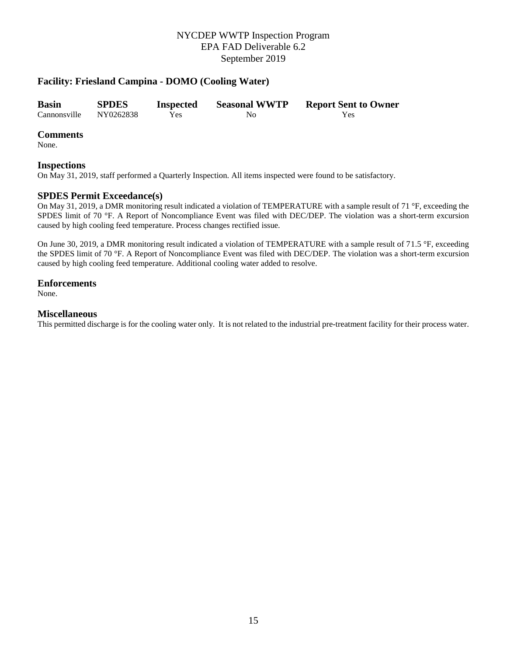## **Facility: Friesland Campina - DOMO (Cooling Water)**

| <b>Basin</b> | <b>SPDES</b> | <b>Inspected</b> | <b>Seasonal WWTP</b> | <b>Report Sent to Owner</b> |
|--------------|--------------|------------------|----------------------|-----------------------------|
| Cannonsville | NY0262838    | Yes              | No.                  | Yes.                        |

#### **Comments**

None.

#### **Inspections**

On May 31, 2019, staff performed a Quarterly Inspection. All items inspected were found to be satisfactory.

## **SPDES Permit Exceedance(s)**

On May 31, 2019, a DMR monitoring result indicated a violation of TEMPERATURE with a sample result of 71 °F, exceeding the SPDES limit of 70 °F. A Report of Noncompliance Event was filed with DEC/DEP. The violation was a short-term excursion caused by high cooling feed temperature. Process changes rectified issue.

On June 30, 2019, a DMR monitoring result indicated a violation of TEMPERATURE with a sample result of 71.5  $\degree$ F, exceeding the SPDES limit of 70 °F. A Report of Noncompliance Event was filed with DEC/DEP. The violation was a short-term excursion caused by high cooling feed temperature. Additional cooling water added to resolve.

#### **Enforcements**

None.

#### **Miscellaneous**

This permitted discharge is for the cooling water only. It is not related to the industrial pre-treatment facility for their process water.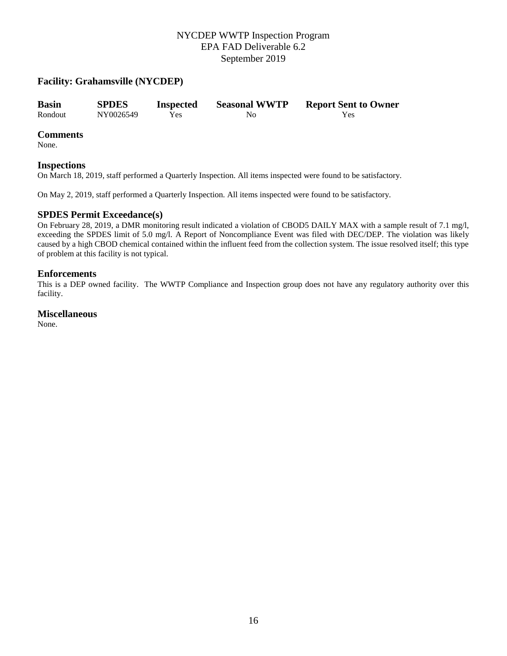## **Facility: Grahamsville (NYCDEP)**

| <b>Basin</b> | <b>SPDES</b> | <b>Inspected</b> | <b>Seasonal WWTP</b> | <b>Report Sent to Owner</b> |
|--------------|--------------|------------------|----------------------|-----------------------------|
| Rondout      | NY0026549    | Yes              | No                   | Yes.                        |

#### **Comments**

None.

#### **Inspections**

On March 18, 2019, staff performed a Quarterly Inspection. All items inspected were found to be satisfactory.

On May 2, 2019, staff performed a Quarterly Inspection. All items inspected were found to be satisfactory.

## **SPDES Permit Exceedance(s)**

On February 28, 2019, a DMR monitoring result indicated a violation of CBOD5 DAILY MAX with a sample result of 7.1 mg/l, exceeding the SPDES limit of 5.0 mg/l. A Report of Noncompliance Event was filed with DEC/DEP. The violation was likely caused by a high CBOD chemical contained within the influent feed from the collection system. The issue resolved itself; this type of problem at this facility is not typical.

#### **Enforcements**

This is a DEP owned facility. The WWTP Compliance and Inspection group does not have any regulatory authority over this facility.

## **Miscellaneous**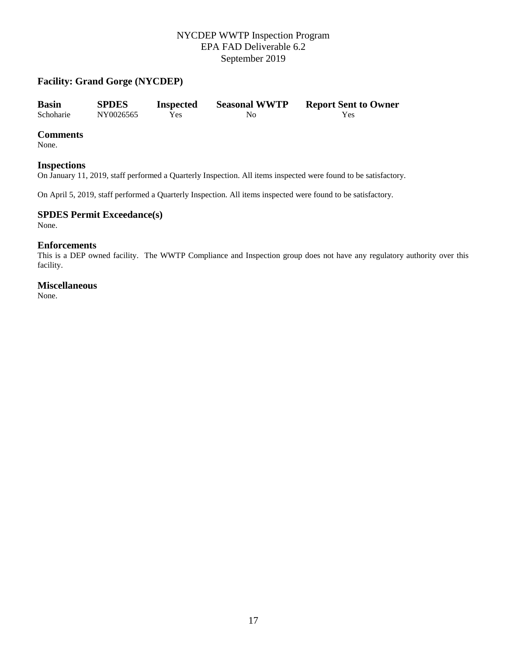## **Facility: Grand Gorge (NYCDEP)**

| <b>Basin</b> | <b>SPDES</b> | <b>Inspected</b> | <b>Seasonal WWTP</b> | <b>Report Sent to Owner</b> |
|--------------|--------------|------------------|----------------------|-----------------------------|
| Schoharie    | NY0026565    | Yes              | No.                  | Yes                         |

#### **Comments**

None.

#### **Inspections**

On January 11, 2019, staff performed a Quarterly Inspection. All items inspected were found to be satisfactory.

On April 5, 2019, staff performed a Quarterly Inspection. All items inspected were found to be satisfactory.

#### **SPDES Permit Exceedance(s)**

None.

#### **Enforcements**

This is a DEP owned facility. The WWTP Compliance and Inspection group does not have any regulatory authority over this facility.

## **Miscellaneous**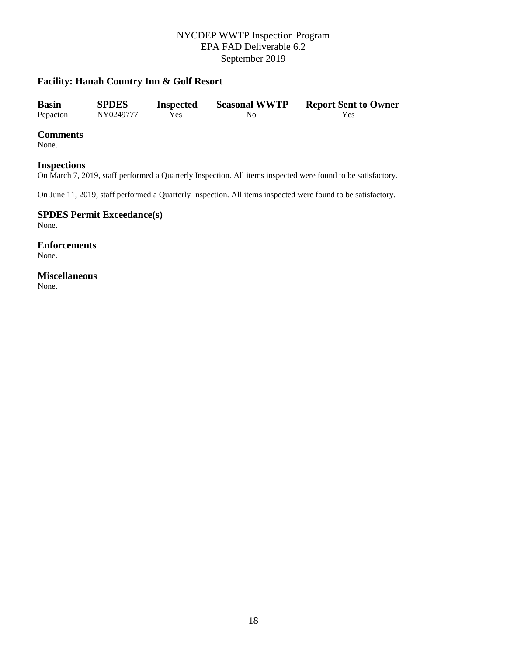## **Facility: Hanah Country Inn & Golf Resort**

| <b>Basin</b> | <b>SPDES</b> | <b>Inspected</b> | <b>Seasonal WWTP</b> | <b>Report Sent to Owner</b> |
|--------------|--------------|------------------|----------------------|-----------------------------|
| Pepacton     | NY0249777    | Yes              | No                   | Y es                        |

#### **Comments**

None.

#### **Inspections**

On March 7, 2019, staff performed a Quarterly Inspection. All items inspected were found to be satisfactory.

On June 11, 2019, staff performed a Quarterly Inspection. All items inspected were found to be satisfactory.

#### **SPDES Permit Exceedance(s)** None.

**Enforcements** None.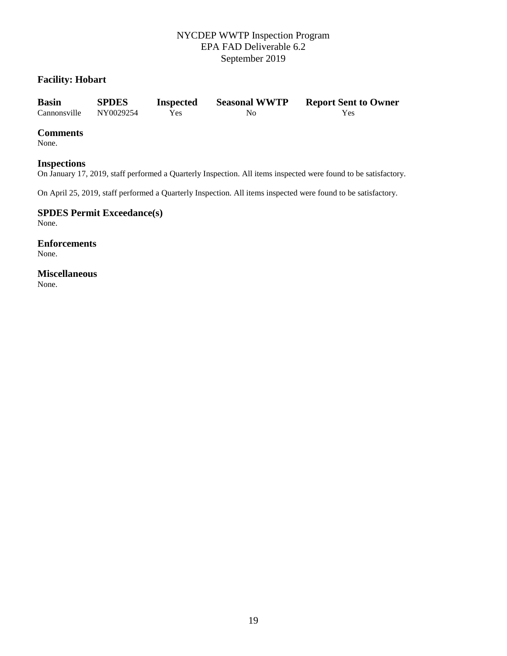## **Facility: Hobart**

| <b>Basin</b> | <b>SPDES</b> | <b>Inspected</b> | <b>Seasonal WWTP</b> | <b>Report Sent to Owner</b> |
|--------------|--------------|------------------|----------------------|-----------------------------|
| Cannonsville | NY0029254    | Yes              | No                   | Yes                         |

## **Comments**

None.

## **Inspections**

On January 17, 2019, staff performed a Quarterly Inspection. All items inspected were found to be satisfactory.

On April 25, 2019, staff performed a Quarterly Inspection. All items inspected were found to be satisfactory.

**SPDES Permit Exceedance(s)** None.

**Enforcements** None.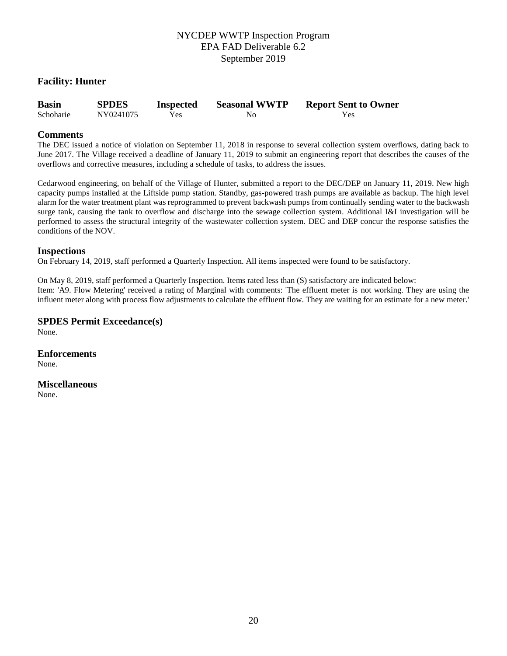## **Facility: Hunter**

| <b>Basin</b> | <b>SPDES</b> | <b>Inspected</b> | <b>Seasonal WWTP</b> | <b>Report Sent to Owner</b> |
|--------------|--------------|------------------|----------------------|-----------------------------|
| Schoharie    | NY0241075    | Yes              | No.                  | Yes                         |

#### **Comments**

The DEC issued a notice of violation on September 11, 2018 in response to several collection system overflows, dating back to June 2017. The Village received a deadline of January 11, 2019 to submit an engineering report that describes the causes of the overflows and corrective measures, including a schedule of tasks, to address the issues.

Cedarwood engineering, on behalf of the Village of Hunter, submitted a report to the DEC/DEP on January 11, 2019. New high capacity pumps installed at the Liftside pump station. Standby, gas-powered trash pumps are available as backup. The high level alarm for the water treatment plant was reprogrammed to prevent backwash pumps from continually sending water to the backwash surge tank, causing the tank to overflow and discharge into the sewage collection system. Additional I&I investigation will be performed to assess the structural integrity of the wastewater collection system. DEC and DEP concur the response satisfies the conditions of the NOV.

#### **Inspections**

On February 14, 2019, staff performed a Quarterly Inspection. All items inspected were found to be satisfactory.

On May 8, 2019, staff performed a Quarterly Inspection. Items rated less than (S) satisfactory are indicated below: Item: 'A9. Flow Metering' received a rating of Marginal with comments: 'The effluent meter is not working. They are using the influent meter along with process flow adjustments to calculate the effluent flow. They are waiting for an estimate for a new meter.'

#### **SPDES Permit Exceedance(s)**

None.

**Enforcements** None.

#### **Miscellaneous**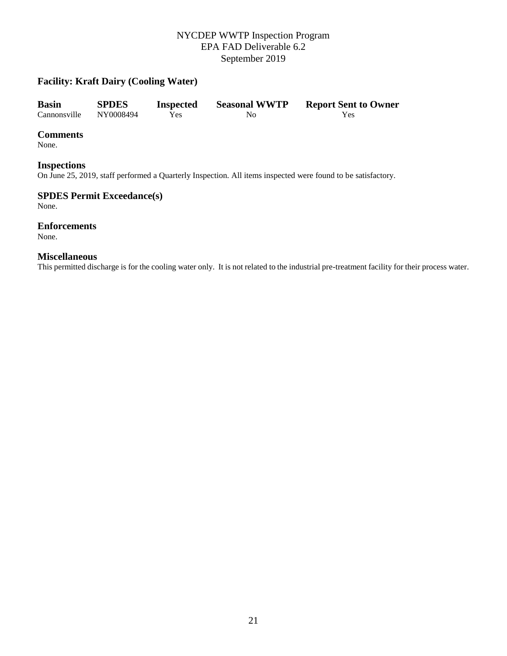## **Facility: Kraft Dairy (Cooling Water)**

| <b>Basin</b> | <b>SPDES</b> | <b>Inspected</b> | <b>Seasonal WWTP</b> | <b>Report Sent to Owner</b> |
|--------------|--------------|------------------|----------------------|-----------------------------|
| Cannonsville | NY0008494    | Yes              | No.                  | Yes                         |

#### **Comments**

None.

#### **Inspections**

On June 25, 2019, staff performed a Quarterly Inspection. All items inspected were found to be satisfactory.

#### **SPDES Permit Exceedance(s)** None.

**Enforcements**

None.

#### **Miscellaneous**

This permitted discharge is for the cooling water only. It is not related to the industrial pre-treatment facility for their process water.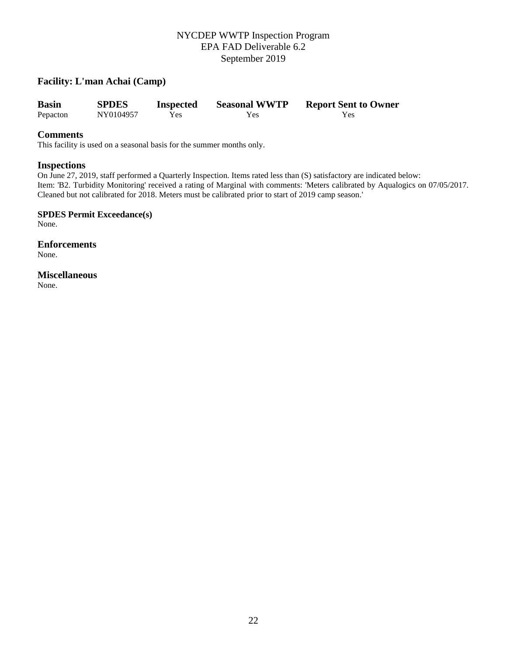## **Facility: L'man Achai (Camp)**

| <b>Basin</b> | <b>SPDES</b> | <b>Inspected</b> | <b>Seasonal WWTP</b> | <b>Report Sent to Owner</b> |
|--------------|--------------|------------------|----------------------|-----------------------------|
| Pepacton     | NY0104957    | Yes              | Yes                  | Yes                         |

#### **Comments**

This facility is used on a seasonal basis for the summer months only.

#### **Inspections**

On June 27, 2019, staff performed a Quarterly Inspection. Items rated less than (S) satisfactory are indicated below: Item: 'B2. Turbidity Monitoring' received a rating of Marginal with comments: 'Meters calibrated by Aqualogics on 07/05/2017. Cleaned but not calibrated for 2018. Meters must be calibrated prior to start of 2019 camp season.'

**SPDES Permit Exceedance(s)** None.

**Enforcements** None.

**Miscellaneous**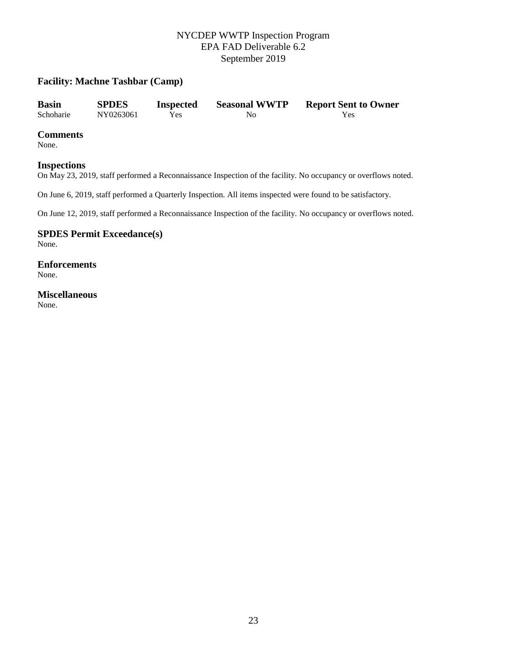## **Facility: Machne Tashbar (Camp)**

| <b>Basin</b> | <b>SPDES</b> | <b>Inspected</b> | <b>Seasonal WWTP</b> | <b>Report Sent to Owner</b> |
|--------------|--------------|------------------|----------------------|-----------------------------|
| Schoharie    | NY0263061    | Yes              | No                   | Yes                         |

#### **Comments**

None.

#### **Inspections**

On May 23, 2019, staff performed a Reconnaissance Inspection of the facility. No occupancy or overflows noted.

On June 6, 2019, staff performed a Quarterly Inspection. All items inspected were found to be satisfactory.

On June 12, 2019, staff performed a Reconnaissance Inspection of the facility. No occupancy or overflows noted.

#### **SPDES Permit Exceedance(s)** None.

#### **Enforcements** None.

## **Miscellaneous**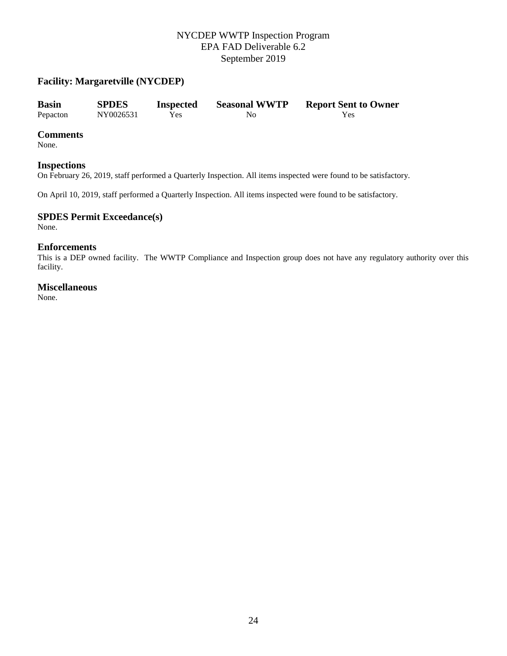## **Facility: Margaretville (NYCDEP)**

| <b>Basin</b> | <b>SPDES</b> | <b>Inspected</b> | <b>Seasonal WWTP</b> | <b>Report Sent to Owner</b> |
|--------------|--------------|------------------|----------------------|-----------------------------|
| Pepacton     | NY0026531    | Yes              | No                   | Yes.                        |

#### **Comments**

None.

#### **Inspections**

On February 26, 2019, staff performed a Quarterly Inspection. All items inspected were found to be satisfactory.

On April 10, 2019, staff performed a Quarterly Inspection. All items inspected were found to be satisfactory.

## **SPDES Permit Exceedance(s)**

None.

#### **Enforcements**

This is a DEP owned facility. The WWTP Compliance and Inspection group does not have any regulatory authority over this facility.

### **Miscellaneous**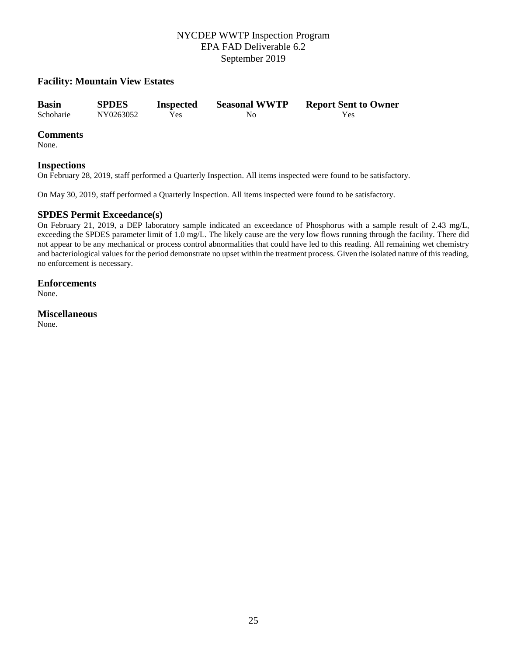## **Facility: Mountain View Estates**

| <b>Basin</b> | <b>SPDES</b> | <b>Inspected</b> | <b>Seasonal WWTP</b> | <b>Report Sent to Owner</b> |
|--------------|--------------|------------------|----------------------|-----------------------------|
| Schoharie    | NY0263052    | Yes              | No                   | Yes                         |

#### **Comments**

None.

#### **Inspections**

On February 28, 2019, staff performed a Quarterly Inspection. All items inspected were found to be satisfactory.

On May 30, 2019, staff performed a Quarterly Inspection. All items inspected were found to be satisfactory.

#### **SPDES Permit Exceedance(s)**

On February 21, 2019, a DEP laboratory sample indicated an exceedance of Phosphorus with a sample result of 2.43 mg/L, exceeding the SPDES parameter limit of 1.0 mg/L. The likely cause are the very low flows running through the facility. There did not appear to be any mechanical or process control abnormalities that could have led to this reading. All remaining wet chemistry and bacteriological values for the period demonstrate no upset within the treatment process. Given the isolated nature of this reading, no enforcement is necessary.

#### **Enforcements**

None.

## **Miscellaneous**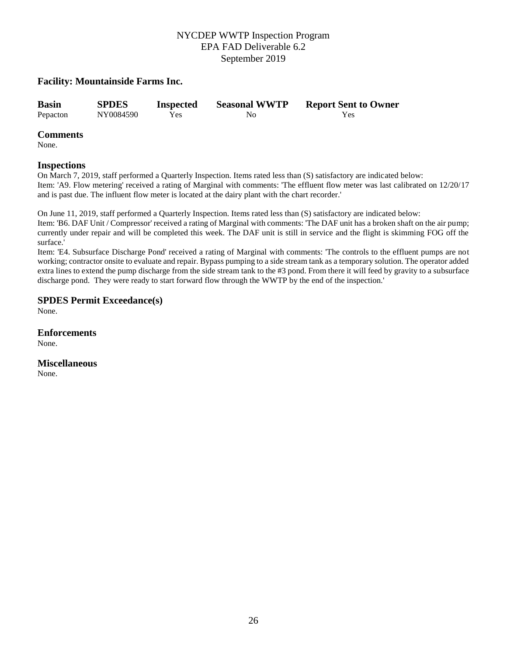## **Facility: Mountainside Farms Inc.**

| <b>Basin</b> | <b>SPDES</b> | <b>Inspected</b> | <b>Seasonal WWTP</b> | <b>Report Sent to Owner</b> |
|--------------|--------------|------------------|----------------------|-----------------------------|
| Pepacton     | NY0084590    | Yes              | No                   | Yes                         |

#### **Comments**

None.

#### **Inspections**

On March 7, 2019, staff performed a Quarterly Inspection. Items rated less than (S) satisfactory are indicated below: Item: 'A9. Flow metering' received a rating of Marginal with comments: 'The effluent flow meter was last calibrated on 12/20/17 and is past due. The influent flow meter is located at the dairy plant with the chart recorder.'

On June 11, 2019, staff performed a Quarterly Inspection. Items rated less than (S) satisfactory are indicated below:

Item: 'B6. DAF Unit / Compressor' received a rating of Marginal with comments: 'The DAF unit has a broken shaft on the air pump; currently under repair and will be completed this week. The DAF unit is still in service and the flight is skimming FOG off the surface.'

Item: 'E4. Subsurface Discharge Pond' received a rating of Marginal with comments: 'The controls to the effluent pumps are not working; contractor onsite to evaluate and repair. Bypass pumping to a side stream tank as a temporary solution. The operator added extra lines to extend the pump discharge from the side stream tank to the #3 pond. From there it will feed by gravity to a subsurface discharge pond. They were ready to start forward flow through the WWTP by the end of the inspection.'

## **SPDES Permit Exceedance(s)**

None.

**Enforcements** None.

## **Miscellaneous**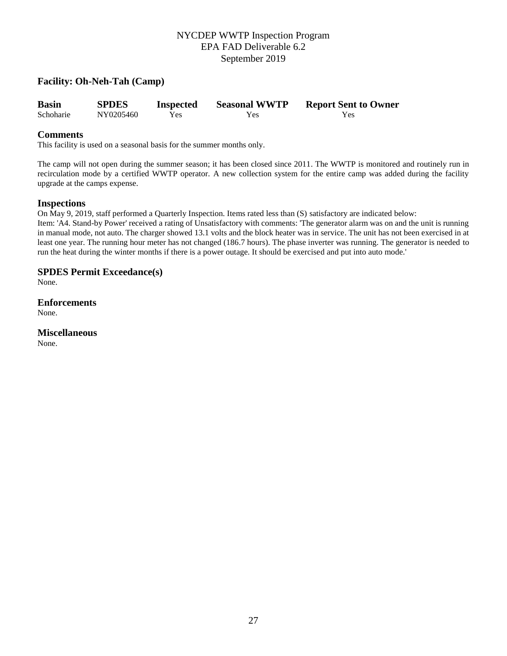## **Facility: Oh-Neh-Tah (Camp)**

| <b>Basin</b> | <b>SPDES</b> | <b>Inspected</b> | <b>Seasonal WWTP</b> | <b>Report Sent to Owner</b> |
|--------------|--------------|------------------|----------------------|-----------------------------|
| Schoharie    | NY0205460    | <b>Yes</b>       | Yes                  | Yes                         |

### **Comments**

This facility is used on a seasonal basis for the summer months only.

The camp will not open during the summer season; it has been closed since 2011. The WWTP is monitored and routinely run in recirculation mode by a certified WWTP operator. A new collection system for the entire camp was added during the facility upgrade at the camps expense.

#### **Inspections**

On May 9, 2019, staff performed a Quarterly Inspection. Items rated less than (S) satisfactory are indicated below:

Item: 'A4. Stand-by Power' received a rating of Unsatisfactory with comments: 'The generator alarm was on and the unit is running in manual mode, not auto. The charger showed 13.1 volts and the block heater was in service. The unit has not been exercised in at least one year. The running hour meter has not changed (186.7 hours). The phase inverter was running. The generator is needed to run the heat during the winter months if there is a power outage. It should be exercised and put into auto mode.'

#### **SPDES Permit Exceedance(s)**

None.

**Enforcements** None.

**Miscellaneous**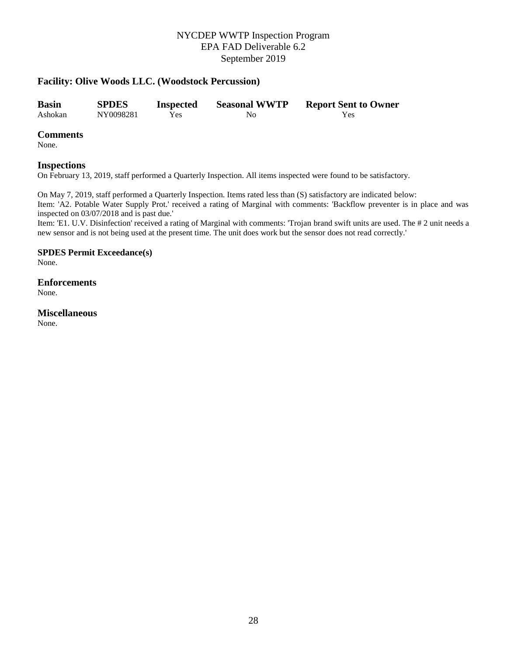## **Facility: Olive Woods LLC. (Woodstock Percussion)**

| <b>Basin</b> | <b>SPDES</b> | <b>Inspected</b> | <b>Seasonal WWTP</b> | <b>Report Sent to Owner</b> |
|--------------|--------------|------------------|----------------------|-----------------------------|
| Ashokan      | NY0098281    | Yes              | No                   | Yes                         |

#### **Comments**

None.

#### **Inspections**

On February 13, 2019, staff performed a Quarterly Inspection. All items inspected were found to be satisfactory.

On May 7, 2019, staff performed a Quarterly Inspection. Items rated less than (S) satisfactory are indicated below: Item: 'A2. Potable Water Supply Prot.' received a rating of Marginal with comments: 'Backflow preventer is in place and was inspected on 03/07/2018 and is past due.'

Item: 'E1. U.V. Disinfection' received a rating of Marginal with comments: 'Trojan brand swift units are used. The # 2 unit needs a new sensor and is not being used at the present time. The unit does work but the sensor does not read correctly.'

#### **SPDES Permit Exceedance(s)**

None.

#### **Enforcements**

None.

#### **Miscellaneous**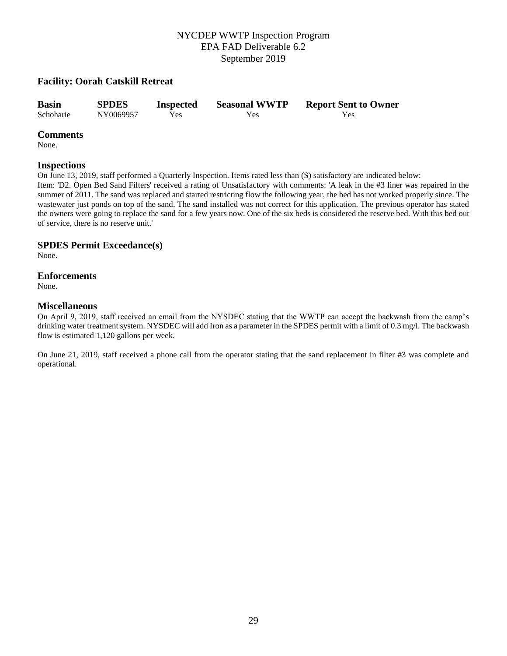## **Facility: Oorah Catskill Retreat**

| <b>Basin</b> | <b>SPDES</b> | <b>Inspected</b> | <b>Seasonal WWTP</b> | <b>Report Sent to Owner</b> |
|--------------|--------------|------------------|----------------------|-----------------------------|
| Schoharie    | NY0069957    | Yes              | Yes.                 | Yes.                        |

#### **Comments**

None.

#### **Inspections**

On June 13, 2019, staff performed a Quarterly Inspection. Items rated less than (S) satisfactory are indicated below:

Item: 'D2. Open Bed Sand Filters' received a rating of Unsatisfactory with comments: 'A leak in the #3 liner was repaired in the summer of 2011. The sand was replaced and started restricting flow the following year, the bed has not worked properly since. The wastewater just ponds on top of the sand. The sand installed was not correct for this application. The previous operator has stated the owners were going to replace the sand for a few years now. One of the six beds is considered the reserve bed. With this bed out of service, there is no reserve unit.'

#### **SPDES Permit Exceedance(s)**

None.

#### **Enforcements**

None.

#### **Miscellaneous**

On April 9, 2019, staff received an email from the NYSDEC stating that the WWTP can accept the backwash from the camp's drinking water treatment system. NYSDEC will add Iron as a parameter in the SPDES permit with a limit of 0.3 mg/l. The backwash flow is estimated 1,120 gallons per week.

On June 21, 2019, staff received a phone call from the operator stating that the sand replacement in filter #3 was complete and operational.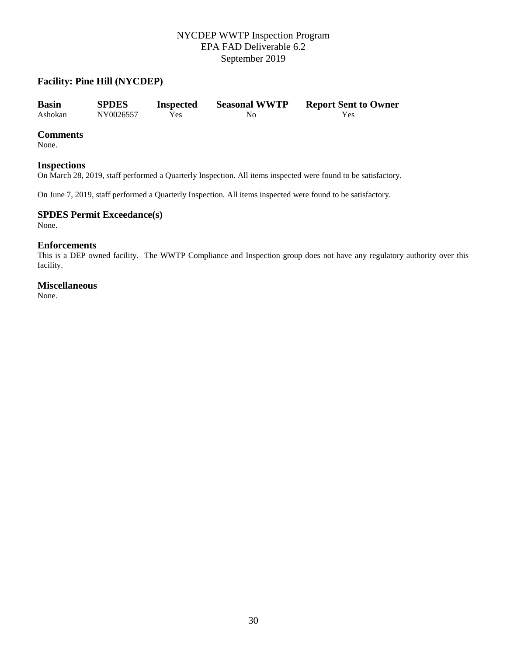## **Facility: Pine Hill (NYCDEP)**

| <b>Basin</b> | <b>SPDES</b> | <b>Inspected</b> | <b>Seasonal WWTP</b> | <b>Report Sent to Owner</b> |
|--------------|--------------|------------------|----------------------|-----------------------------|
| Ashokan      | NY0026557    | <b>Yes</b>       | No.                  | Yes                         |

#### **Comments**

None.

#### **Inspections**

On March 28, 2019, staff performed a Quarterly Inspection. All items inspected were found to be satisfactory.

On June 7, 2019, staff performed a Quarterly Inspection. All items inspected were found to be satisfactory.

### **SPDES Permit Exceedance(s)**

None.

#### **Enforcements**

This is a DEP owned facility. The WWTP Compliance and Inspection group does not have any regulatory authority over this facility.

## **Miscellaneous**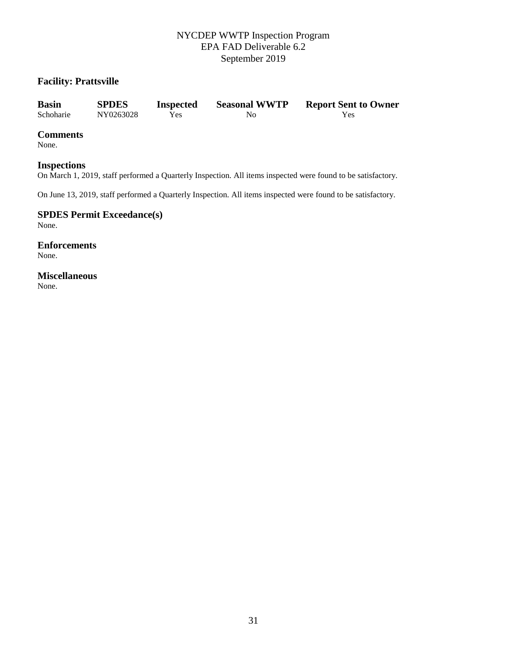## **Facility: Prattsville**

| <b>Basin</b> | <b>SPDES</b> | <b>Inspected</b> | <b>Seasonal WWTP</b> | <b>Report Sent to Owner</b> |
|--------------|--------------|------------------|----------------------|-----------------------------|
| Schoharie    | NY0263028    | Yes              | No                   | Yes                         |

#### **Comments**

None.

#### **Inspections**

On March 1, 2019, staff performed a Quarterly Inspection. All items inspected were found to be satisfactory.

On June 13, 2019, staff performed a Quarterly Inspection. All items inspected were found to be satisfactory.

**SPDES Permit Exceedance(s)** None.

**Enforcements** None.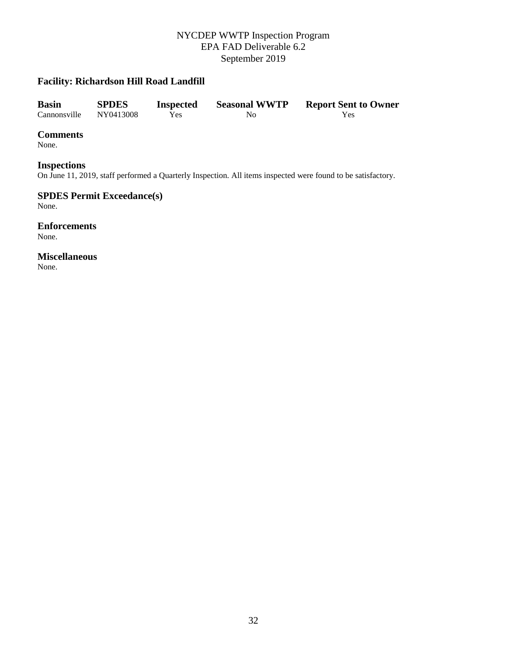## **Facility: Richardson Hill Road Landfill**

| <b>Basin</b> | <b>SPDES</b> | <b>Inspected</b> | <b>Seasonal WWTP</b> | <b>Report Sent to Owner</b> |
|--------------|--------------|------------------|----------------------|-----------------------------|
| Cannonsville | NY0413008    | Yes.             | No                   | Yes.                        |

#### **Comments**

None.

## **Inspections**

On June 11, 2019, staff performed a Quarterly Inspection. All items inspected were found to be satisfactory.

**SPDES Permit Exceedance(s)** None.

**Enforcements** None.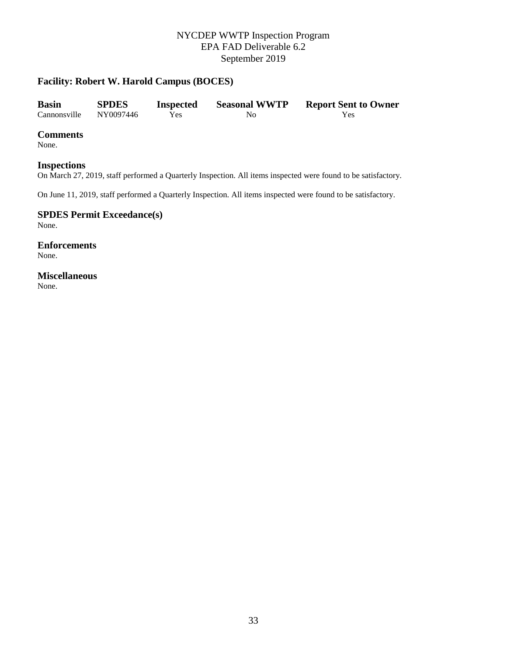## **Facility: Robert W. Harold Campus (BOCES)**

| <b>Basin</b> | <b>SPDES</b> | <b>Inspected</b> | <b>Seasonal WWTP</b> | <b>Report Sent to Owner</b> |
|--------------|--------------|------------------|----------------------|-----------------------------|
| Cannonsville | NY0097446    | Yes              | No                   | Y es                        |

#### **Comments**

None.

#### **Inspections**

On March 27, 2019, staff performed a Quarterly Inspection. All items inspected were found to be satisfactory.

On June 11, 2019, staff performed a Quarterly Inspection. All items inspected were found to be satisfactory.

#### **SPDES Permit Exceedance(s)** None.

**Enforcements** None.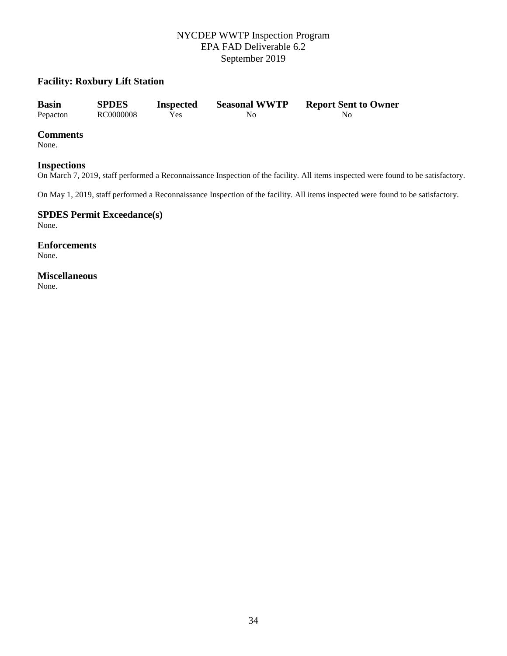## **Facility: Roxbury Lift Station**

| <b>Basin</b> | <b>SPDES</b> | <b>Inspected</b> | <b>Seasonal WWTP</b> | <b>Report Sent to Owner</b> |
|--------------|--------------|------------------|----------------------|-----------------------------|
| Pepacton     | RC0000008    | Yes              | No                   | No                          |

#### **Comments**

None.

#### **Inspections**

On March 7, 2019, staff performed a Reconnaissance Inspection of the facility. All items inspected were found to be satisfactory.

On May 1, 2019, staff performed a Reconnaissance Inspection of the facility. All items inspected were found to be satisfactory.

**SPDES Permit Exceedance(s)** None.

**Enforcements** None.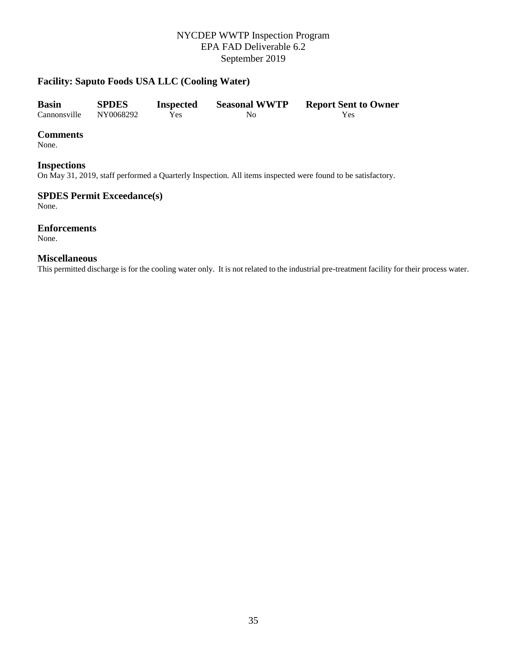## **Facility: Saputo Foods USA LLC (Cooling Water)**

| <b>Basin</b> | <b>SPDES</b> | <b>Inspected</b> | <b>Seasonal WWTP</b> | <b>Report Sent to Owner</b> |
|--------------|--------------|------------------|----------------------|-----------------------------|
| Cannonsville | NY0068292    | Yes              | No                   | Yes                         |

#### **Comments**

None.

#### **Inspections**

On May 31, 2019, staff performed a Quarterly Inspection. All items inspected were found to be satisfactory.

#### **SPDES Permit Exceedance(s)** None.

**Enforcements**

None.

#### **Miscellaneous**

This permitted discharge is for the cooling water only. It is not related to the industrial pre-treatment facility for their process water.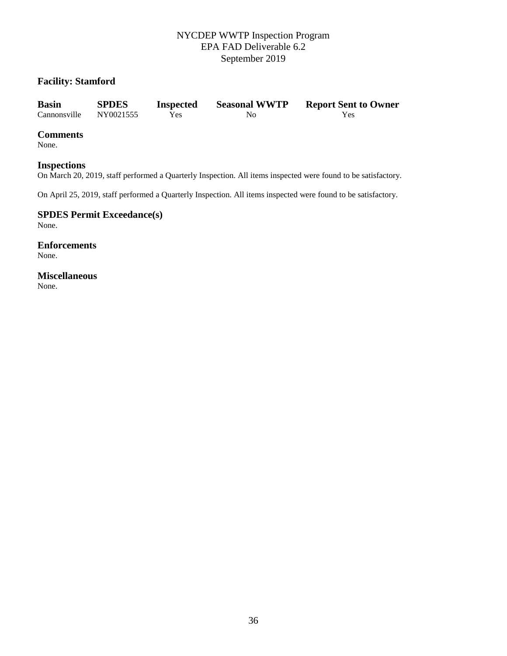## **Facility: Stamford**

| <b>Basin</b> | <b>SPDES</b> | <b>Inspected</b> | <b>Seasonal WWTP</b> | <b>Report Sent to Owner</b> |
|--------------|--------------|------------------|----------------------|-----------------------------|
| Cannonsville | NY0021555    | Yes              | No                   | Yes                         |

#### **Comments**

None.

#### **Inspections**

On March 20, 2019, staff performed a Quarterly Inspection. All items inspected were found to be satisfactory.

On April 25, 2019, staff performed a Quarterly Inspection. All items inspected were found to be satisfactory.

#### **SPDES Permit Exceedance(s)** None.

**Enforcements** None.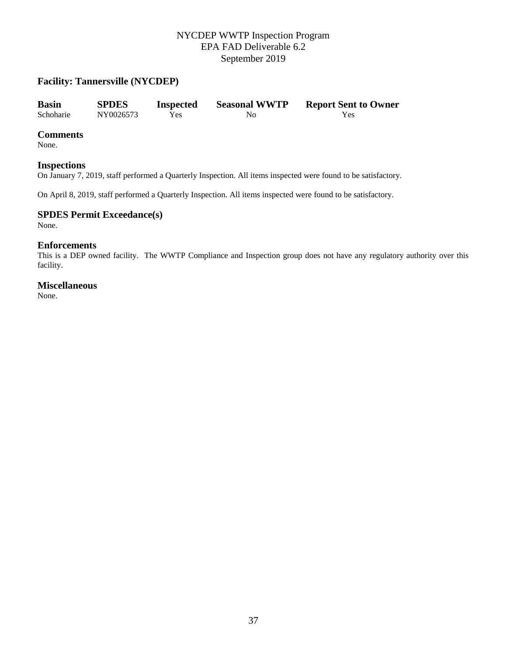## **Facility: Tannersville (NYCDEP)**

| <b>Basin</b> | <b>SPDES</b> | <b>Inspected</b> | <b>Seasonal WWTP</b> | <b>Report Sent to Owner</b> |
|--------------|--------------|------------------|----------------------|-----------------------------|
| Schoharie    | NY0026573    | Yes              | No.                  | Yes                         |

#### **Comments**

None.

#### **Inspections**

On January 7, 2019, staff performed a Quarterly Inspection. All items inspected were found to be satisfactory.

On April 8, 2019, staff performed a Quarterly Inspection. All items inspected were found to be satisfactory.

#### **SPDES Permit Exceedance(s)**

None.

#### **Enforcements**

This is a DEP owned facility. The WWTP Compliance and Inspection group does not have any regulatory authority over this facility.

## **Miscellaneous**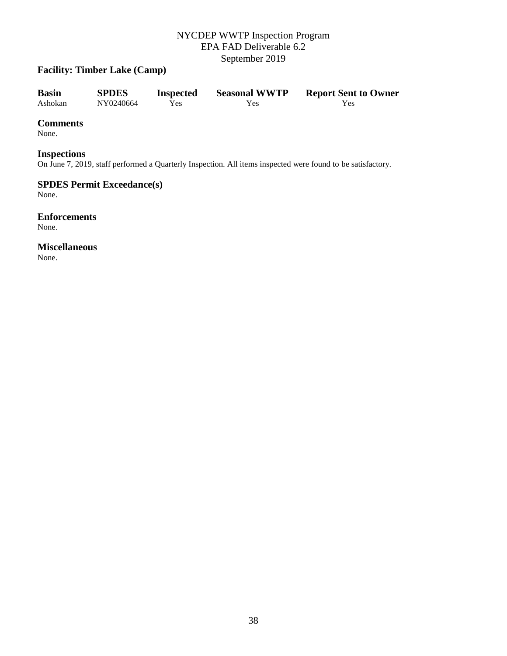## **Facility: Timber Lake (Camp)**

| <b>Basin</b> | <b>SPDES</b> | <b>Inspected</b> | <b>Seasonal WWTP</b> | <b>Report Sent to Owner</b> |
|--------------|--------------|------------------|----------------------|-----------------------------|
| Ashokan      | NY0240664    | Yes              | Yes                  | Yes                         |

## **Comments**

None.

#### **Inspections**

On June 7, 2019, staff performed a Quarterly Inspection. All items inspected were found to be satisfactory.

## **SPDES Permit Exceedance(s)**

None.

#### **Enforcements**

None.

## **Miscellaneous**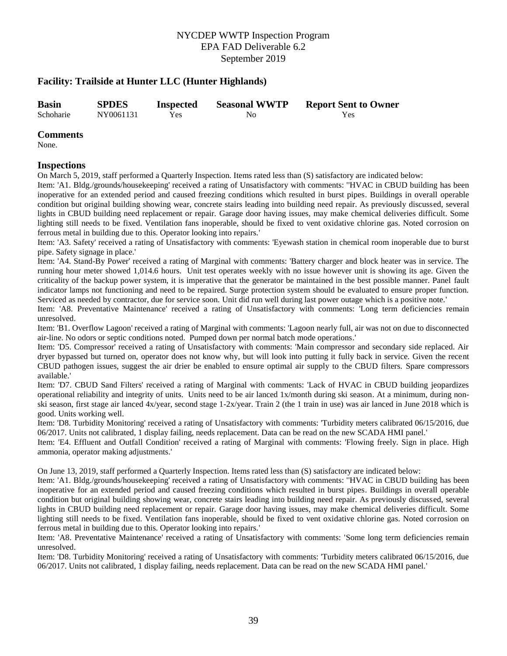## **Facility: Trailside at Hunter LLC (Hunter Highlands)**

| <b>Basin</b> | <b>SPDES</b> | <b>Inspected</b> | <b>Seasonal WWTP</b> | <b>Report Sent to Owner</b> |
|--------------|--------------|------------------|----------------------|-----------------------------|
| Schoharie    | NY0061131    | Yes.             | No                   | Yes                         |

#### **Comments**

None.

#### **Inspections**

On March 5, 2019, staff performed a Quarterly Inspection. Items rated less than (S) satisfactory are indicated below:

Item: 'A1. Bldg./grounds/housekeeping' received a rating of Unsatisfactory with comments: ''HVAC in CBUD building has been inoperative for an extended period and caused freezing conditions which resulted in burst pipes. Buildings in overall operable condition but original building showing wear, concrete stairs leading into building need repair. As previously discussed, several lights in CBUD building need replacement or repair. Garage door having issues, may make chemical deliveries difficult. Some lighting still needs to be fixed. Ventilation fans inoperable, should be fixed to vent oxidative chlorine gas. Noted corrosion on ferrous metal in building due to this. Operator looking into repairs.'

Item: 'A3. Safety' received a rating of Unsatisfactory with comments: 'Eyewash station in chemical room inoperable due to burst pipe. Safety signage in place.'

Item: 'A4. Stand-By Power' received a rating of Marginal with comments: 'Battery charger and block heater was in service. The running hour meter showed 1,014.6 hours. Unit test operates weekly with no issue however unit is showing its age. Given the criticality of the backup power system, it is imperative that the generator be maintained in the best possible manner. Panel fault indicator lamps not functioning and need to be repaired. Surge protection system should be evaluated to ensure proper function. Serviced as needed by contractor, due for service soon. Unit did run well during last power outage which is a positive note.'

Item: 'A8. Preventative Maintenance' received a rating of Unsatisfactory with comments: 'Long term deficiencies remain unresolved.

Item: 'B1. Overflow Lagoon' received a rating of Marginal with comments: 'Lagoon nearly full, air was not on due to disconnected air-line. No odors or septic conditions noted. Pumped down per normal batch mode operations.'

Item: 'D5. Compressor' received a rating of Unsatisfactory with comments: 'Main compressor and secondary side replaced. Air dryer bypassed but turned on, operator does not know why, but will look into putting it fully back in service. Given the recent CBUD pathogen issues, suggest the air drier be enabled to ensure optimal air supply to the CBUD filters. Spare compressors available.'

Item: 'D7. CBUD Sand Filters' received a rating of Marginal with comments: 'Lack of HVAC in CBUD building jeopardizes operational reliability and integrity of units. Units need to be air lanced 1x/month during ski season. At a minimum, during nonski season, first stage air lanced 4x/year, second stage 1-2x/year. Train 2 (the 1 train in use) was air lanced in June 2018 which is good. Units working well.

Item: 'D8. Turbidity Monitoring' received a rating of Unsatisfactory with comments: 'Turbidity meters calibrated 06/15/2016, due 06/2017. Units not calibrated, 1 display failing, needs replacement. Data can be read on the new SCADA HMI panel.'

Item: 'E4. Effluent and Outfall Condition' received a rating of Marginal with comments: 'Flowing freely. Sign in place. High ammonia, operator making adjustments.'

On June 13, 2019, staff performed a Quarterly Inspection. Items rated less than (S) satisfactory are indicated below:

Item: 'A1. Bldg./grounds/housekeeping' received a rating of Unsatisfactory with comments: ''HVAC in CBUD building has been inoperative for an extended period and caused freezing conditions which resulted in burst pipes. Buildings in overall operable condition but original building showing wear, concrete stairs leading into building need repair. As previously discussed, several lights in CBUD building need replacement or repair. Garage door having issues, may make chemical deliveries difficult. Some lighting still needs to be fixed. Ventilation fans inoperable, should be fixed to vent oxidative chlorine gas. Noted corrosion on ferrous metal in building due to this. Operator looking into repairs.'

Item: 'A8. Preventative Maintenance' received a rating of Unsatisfactory with comments: 'Some long term deficiencies remain unresolved.

Item: 'D8. Turbidity Monitoring' received a rating of Unsatisfactory with comments: 'Turbidity meters calibrated 06/15/2016, due 06/2017. Units not calibrated, 1 display failing, needs replacement. Data can be read on the new SCADA HMI panel.'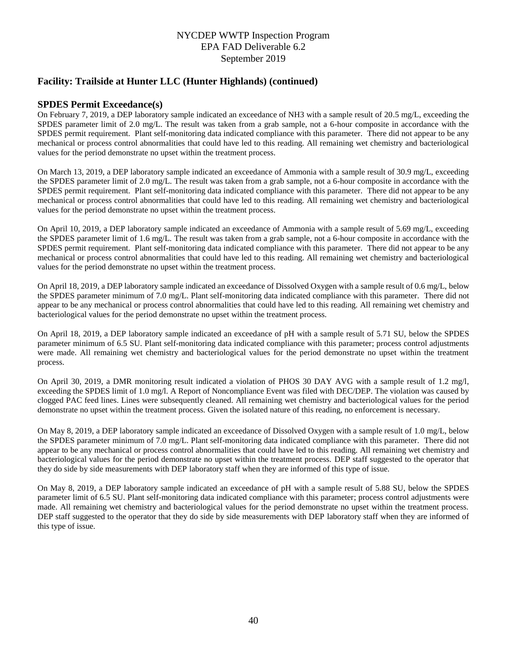## **Facility: Trailside at Hunter LLC (Hunter Highlands) (continued)**

## **SPDES Permit Exceedance(s)**

On February 7, 2019, a DEP laboratory sample indicated an exceedance of NH3 with a sample result of 20.5 mg/L, exceeding the SPDES parameter limit of 2.0 mg/L. The result was taken from a grab sample, not a 6-hour composite in accordance with the SPDES permit requirement. Plant self-monitoring data indicated compliance with this parameter. There did not appear to be any mechanical or process control abnormalities that could have led to this reading. All remaining wet chemistry and bacteriological values for the period demonstrate no upset within the treatment process.

On March 13, 2019, a DEP laboratory sample indicated an exceedance of Ammonia with a sample result of 30.9 mg/L, exceeding the SPDES parameter limit of 2.0 mg/L. The result was taken from a grab sample, not a 6-hour composite in accordance with the SPDES permit requirement. Plant self-monitoring data indicated compliance with this parameter. There did not appear to be any mechanical or process control abnormalities that could have led to this reading. All remaining wet chemistry and bacteriological values for the period demonstrate no upset within the treatment process.

On April 10, 2019, a DEP laboratory sample indicated an exceedance of Ammonia with a sample result of 5.69 mg/L, exceeding the SPDES parameter limit of 1.6 mg/L. The result was taken from a grab sample, not a 6-hour composite in accordance with the SPDES permit requirement. Plant self-monitoring data indicated compliance with this parameter. There did not appear to be any mechanical or process control abnormalities that could have led to this reading. All remaining wet chemistry and bacteriological values for the period demonstrate no upset within the treatment process.

On April 18, 2019, a DEP laboratory sample indicated an exceedance of Dissolved Oxygen with a sample result of 0.6 mg/L, below the SPDES parameter minimum of 7.0 mg/L. Plant self-monitoring data indicated compliance with this parameter. There did not appear to be any mechanical or process control abnormalities that could have led to this reading. All remaining wet chemistry and bacteriological values for the period demonstrate no upset within the treatment process.

On April 18, 2019, a DEP laboratory sample indicated an exceedance of pH with a sample result of 5.71 SU, below the SPDES parameter minimum of 6.5 SU. Plant self-monitoring data indicated compliance with this parameter; process control adjustments were made. All remaining wet chemistry and bacteriological values for the period demonstrate no upset within the treatment process.

On April 30, 2019, a DMR monitoring result indicated a violation of PHOS 30 DAY AVG with a sample result of 1.2 mg/l, exceeding the SPDES limit of 1.0 mg/l. A Report of Noncompliance Event was filed with DEC/DEP. The violation was caused by clogged PAC feed lines. Lines were subsequently cleaned. All remaining wet chemistry and bacteriological values for the period demonstrate no upset within the treatment process. Given the isolated nature of this reading, no enforcement is necessary.

On May 8, 2019, a DEP laboratory sample indicated an exceedance of Dissolved Oxygen with a sample result of 1.0 mg/L, below the SPDES parameter minimum of 7.0 mg/L. Plant self-monitoring data indicated compliance with this parameter. There did not appear to be any mechanical or process control abnormalities that could have led to this reading. All remaining wet chemistry and bacteriological values for the period demonstrate no upset within the treatment process. DEP staff suggested to the operator that they do side by side measurements with DEP laboratory staff when they are informed of this type of issue.

On May 8, 2019, a DEP laboratory sample indicated an exceedance of pH with a sample result of 5.88 SU, below the SPDES parameter limit of 6.5 SU. Plant self-monitoring data indicated compliance with this parameter; process control adjustments were made. All remaining wet chemistry and bacteriological values for the period demonstrate no upset within the treatment process. DEP staff suggested to the operator that they do side by side measurements with DEP laboratory staff when they are informed of this type of issue.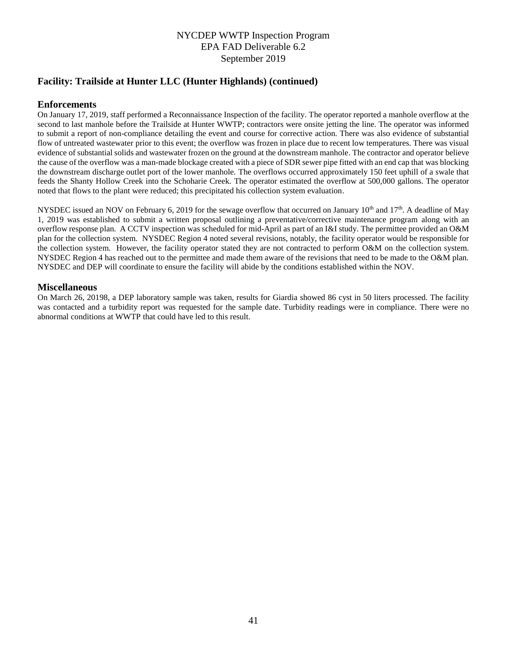## **Facility: Trailside at Hunter LLC (Hunter Highlands) (continued)**

#### **Enforcements**

On January 17, 2019, staff performed a Reconnaissance Inspection of the facility. The operator reported a manhole overflow at the second to last manhole before the Trailside at Hunter WWTP; contractors were onsite jetting the line. The operator was informed to submit a report of non-compliance detailing the event and course for corrective action. There was also evidence of substantial flow of untreated wastewater prior to this event; the overflow was frozen in place due to recent low temperatures. There was visual evidence of substantial solids and wastewater frozen on the ground at the downstream manhole. The contractor and operator believe the cause of the overflow was a man-made blockage created with a piece of SDR sewer pipe fitted with an end cap that was blocking the downstream discharge outlet port of the lower manhole. The overflows occurred approximately 150 feet uphill of a swale that feeds the Shanty Hollow Creek into the Schoharie Creek. The operator estimated the overflow at 500,000 gallons. The operator noted that flows to the plant were reduced; this precipitated his collection system evaluation.

NYSDEC issued an NOV on February 6, 2019 for the sewage overflow that occurred on January  $10^{th}$  and  $17^{th}$ . A deadline of May 1, 2019 was established to submit a written proposal outlining a preventative/corrective maintenance program along with an overflow response plan. A CCTV inspection was scheduled for mid-April as part of an I&I study. The permittee provided an O&M plan for the collection system. NYSDEC Region 4 noted several revisions, notably, the facility operator would be responsible for the collection system. However, the facility operator stated they are not contracted to perform O&M on the collection system. NYSDEC Region 4 has reached out to the permittee and made them aware of the revisions that need to be made to the O&M plan. NYSDEC and DEP will coordinate to ensure the facility will abide by the conditions established within the NOV.

#### **Miscellaneous**

On March 26, 20198, a DEP laboratory sample was taken, results for Giardia showed 86 cyst in 50 liters processed. The facility was contacted and a turbidity report was requested for the sample date. Turbidity readings were in compliance. There were no abnormal conditions at WWTP that could have led to this result.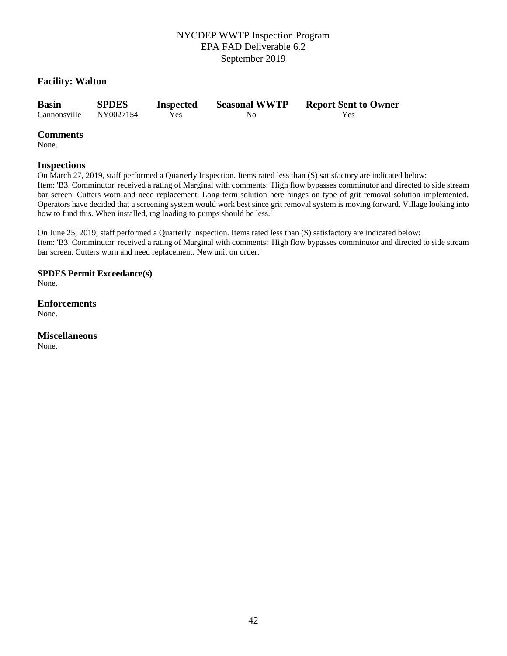## **Facility: Walton**

| <b>Basin</b> | <b>SPDES</b> | <b>Inspected</b> | <b>Seasonal WWTP</b> | <b>Report Sent to Owner</b> |
|--------------|--------------|------------------|----------------------|-----------------------------|
| Cannonsville | NY0027154    | Yes              | N <sub>o</sub>       | Yes                         |

#### **Comments**

None.

#### **Inspections**

On March 27, 2019, staff performed a Quarterly Inspection. Items rated less than (S) satisfactory are indicated below: Item: 'B3. Comminutor' received a rating of Marginal with comments: 'High flow bypasses comminutor and directed to side stream bar screen. Cutters worn and need replacement. Long term solution here hinges on type of grit removal solution implemented. Operators have decided that a screening system would work best since grit removal system is moving forward. Village looking into how to fund this. When installed, rag loading to pumps should be less.'

On June 25, 2019, staff performed a Quarterly Inspection. Items rated less than (S) satisfactory are indicated below: Item: 'B3. Comminutor' received a rating of Marginal with comments: 'High flow bypasses comminutor and directed to side stream bar screen. Cutters worn and need replacement. New unit on order.'

**SPDES Permit Exceedance(s)** None.

**Enforcements** None.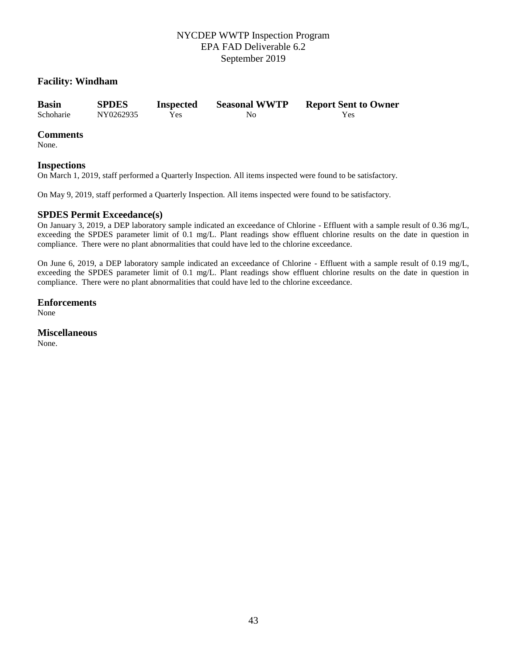## **Facility: Windham**

| <b>Basin</b> | <b>SPDES</b> | <b>Inspected</b> | <b>Seasonal WWTP</b> | <b>Report Sent to Owner</b> |
|--------------|--------------|------------------|----------------------|-----------------------------|
| Schoharie    | NY0262935    | <b>Yes</b>       | No.                  | Yes                         |

#### **Comments**

None.

#### **Inspections**

On March 1, 2019, staff performed a Quarterly Inspection. All items inspected were found to be satisfactory.

On May 9, 2019, staff performed a Quarterly Inspection. All items inspected were found to be satisfactory.

#### **SPDES Permit Exceedance(s)**

On January 3, 2019, a DEP laboratory sample indicated an exceedance of Chlorine - Effluent with a sample result of 0.36 mg/L, exceeding the SPDES parameter limit of 0.1 mg/L. Plant readings show effluent chlorine results on the date in question in compliance. There were no plant abnormalities that could have led to the chlorine exceedance.

On June 6, 2019, a DEP laboratory sample indicated an exceedance of Chlorine - Effluent with a sample result of 0.19 mg/L, exceeding the SPDES parameter limit of 0.1 mg/L. Plant readings show effluent chlorine results on the date in question in compliance. There were no plant abnormalities that could have led to the chlorine exceedance.

#### **Enforcements**

None

#### **Miscellaneous**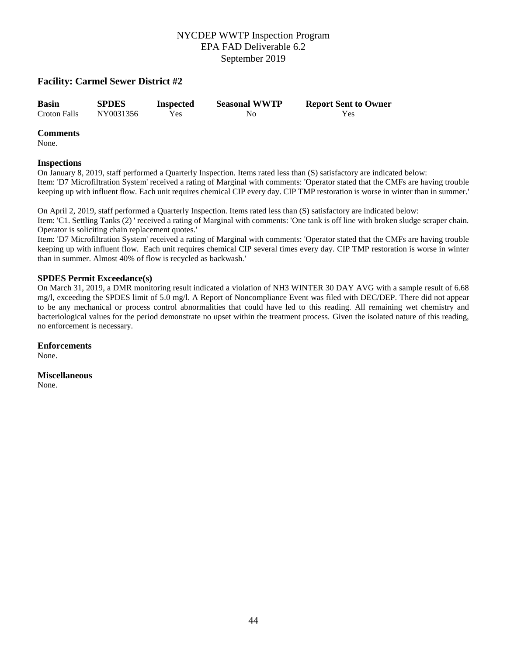## **Facility: Carmel Sewer District #2**

| <b>Basin</b>        | <b>SPDES</b> | <b>Inspected</b> | <b>Seasonal WWTP</b> | <b>Report Sent to Owner</b> |
|---------------------|--------------|------------------|----------------------|-----------------------------|
| <b>Croton Falls</b> | NY0031356    | Yes.             | No                   | Yes                         |

#### **Comments**

None.

#### **Inspections**

On January 8, 2019, staff performed a Quarterly Inspection. Items rated less than (S) satisfactory are indicated below: Item: 'D7 Microfiltration System' received a rating of Marginal with comments: 'Operator stated that the CMFs are having trouble keeping up with influent flow. Each unit requires chemical CIP every day. CIP TMP restoration is worse in winter than in summer.'

On April 2, 2019, staff performed a Quarterly Inspection. Items rated less than (S) satisfactory are indicated below: Item: 'C1. Settling Tanks (2) ' received a rating of Marginal with comments: 'One tank is off line with broken sludge scraper chain. Operator is soliciting chain replacement quotes.'

Item: 'D7 Microfiltration System' received a rating of Marginal with comments: 'Operator stated that the CMFs are having trouble keeping up with influent flow. Each unit requires chemical CIP several times every day. CIP TMP restoration is worse in winter than in summer. Almost 40% of flow is recycled as backwash.'

#### **SPDES Permit Exceedance(s)**

On March 31, 2019, a DMR monitoring result indicated a violation of NH3 WINTER 30 DAY AVG with a sample result of 6.68 mg/l, exceeding the SPDES limit of 5.0 mg/l. A Report of Noncompliance Event was filed with DEC/DEP. There did not appear to be any mechanical or process control abnormalities that could have led to this reading. All remaining wet chemistry and bacteriological values for the period demonstrate no upset within the treatment process. Given the isolated nature of this reading, no enforcement is necessary.

**Enforcements**

None.

**Miscellaneous**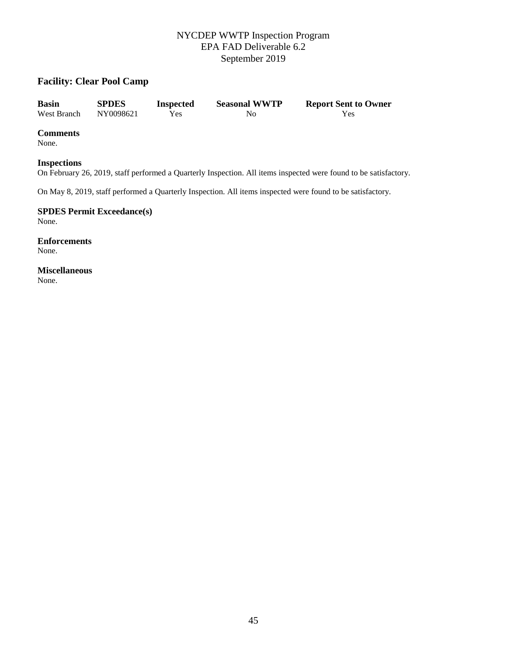## **Facility: Clear Pool Camp**

| <b>Basin</b> | <b>SPDES</b> | <b>Inspected</b> | <b>Seasonal WWTP</b> | <b>Report Sent to Owner</b> |
|--------------|--------------|------------------|----------------------|-----------------------------|
| West Branch  | NY0098621    | Yes.             | No                   | Yes                         |

#### **Comments**

None.

#### **Inspections**

On February 26, 2019, staff performed a Quarterly Inspection. All items inspected were found to be satisfactory.

On May 8, 2019, staff performed a Quarterly Inspection. All items inspected were found to be satisfactory.

**SPDES Permit Exceedance(s)** None.

**Enforcements** None.

**Miscellaneous**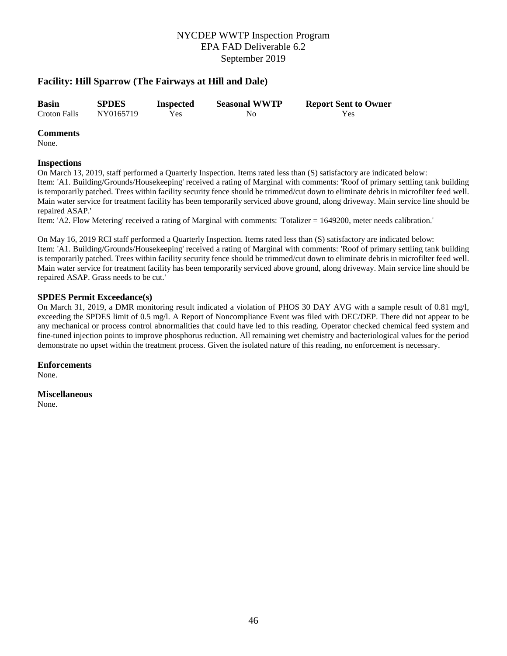## **Facility: Hill Sparrow (The Fairways at Hill and Dale)**

| <b>Basin</b> | <b>SPDES</b> | <b>Inspected</b> | <b>Seasonal WWTP</b> | <b>Report Sent to Owner</b> |
|--------------|--------------|------------------|----------------------|-----------------------------|
| Croton Falls | NY0165719    | Yes.             | No                   | Yes                         |

#### **Comments**

None.

#### **Inspections**

On March 13, 2019, staff performed a Quarterly Inspection. Items rated less than (S) satisfactory are indicated below: Item: 'A1. Building/Grounds/Housekeeping' received a rating of Marginal with comments: 'Roof of primary settling tank building is temporarily patched. Trees within facility security fence should be trimmed/cut down to eliminate debris in microfilter feed well. Main water service for treatment facility has been temporarily serviced above ground, along driveway. Main service line should be repaired ASAP.'

Item: 'A2. Flow Metering' received a rating of Marginal with comments: 'Totalizer = 1649200, meter needs calibration.'

On May 16, 2019 RCI staff performed a Quarterly Inspection. Items rated less than (S) satisfactory are indicated below: Item: 'A1. Building/Grounds/Housekeeping' received a rating of Marginal with comments: 'Roof of primary settling tank building is temporarily patched. Trees within facility security fence should be trimmed/cut down to eliminate debris in microfilter feed well. Main water service for treatment facility has been temporarily serviced above ground, along driveway. Main service line should be repaired ASAP. Grass needs to be cut.'

#### **SPDES Permit Exceedance(s)**

On March 31, 2019, a DMR monitoring result indicated a violation of PHOS 30 DAY AVG with a sample result of 0.81 mg/l, exceeding the SPDES limit of 0.5 mg/l. A Report of Noncompliance Event was filed with DEC/DEP. There did not appear to be any mechanical or process control abnormalities that could have led to this reading. Operator checked chemical feed system and fine-tuned injection points to improve phosphorus reduction. All remaining wet chemistry and bacteriological values for the period demonstrate no upset within the treatment process. Given the isolated nature of this reading, no enforcement is necessary.

#### **Enforcements**

None.

#### **Miscellaneous**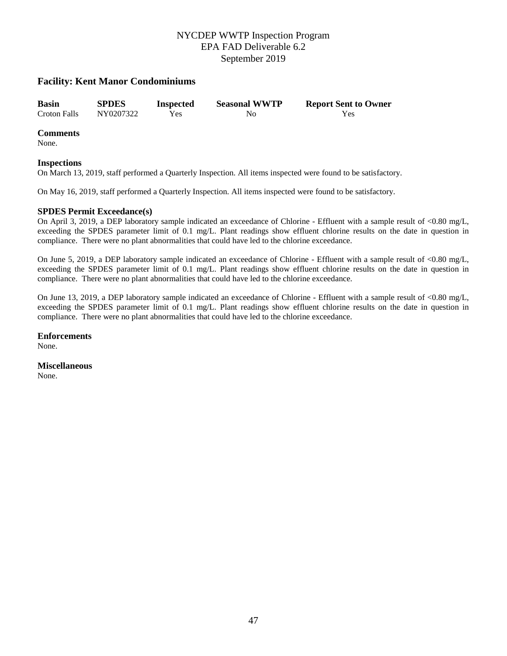## **Facility: Kent Manor Condominiums**

| <b>Basin</b>        | <b>SPDES</b> | <b>Inspected</b> | <b>Seasonal WWTP</b> | <b>Report Sent to Owner</b> |
|---------------------|--------------|------------------|----------------------|-----------------------------|
| <b>Croton Falls</b> | NY0207322    | Yes              | No                   | Yes                         |

#### **Comments**

None.

#### **Inspections**

On March 13, 2019, staff performed a Quarterly Inspection. All items inspected were found to be satisfactory.

On May 16, 2019, staff performed a Quarterly Inspection. All items inspected were found to be satisfactory.

#### **SPDES Permit Exceedance(s)**

On April 3, 2019, a DEP laboratory sample indicated an exceedance of Chlorine - Effluent with a sample result of <0.80 mg/L, exceeding the SPDES parameter limit of 0.1 mg/L. Plant readings show effluent chlorine results on the date in question in compliance. There were no plant abnormalities that could have led to the chlorine exceedance.

On June 5, 2019, a DEP laboratory sample indicated an exceedance of Chlorine - Effluent with a sample result of <0.80 mg/L, exceeding the SPDES parameter limit of 0.1 mg/L. Plant readings show effluent chlorine results on the date in question in compliance. There were no plant abnormalities that could have led to the chlorine exceedance.

On June 13, 2019, a DEP laboratory sample indicated an exceedance of Chlorine - Effluent with a sample result of <0.80 mg/L, exceeding the SPDES parameter limit of 0.1 mg/L. Plant readings show effluent chlorine results on the date in question in compliance. There were no plant abnormalities that could have led to the chlorine exceedance.

#### **Enforcements**

None.

**Miscellaneous**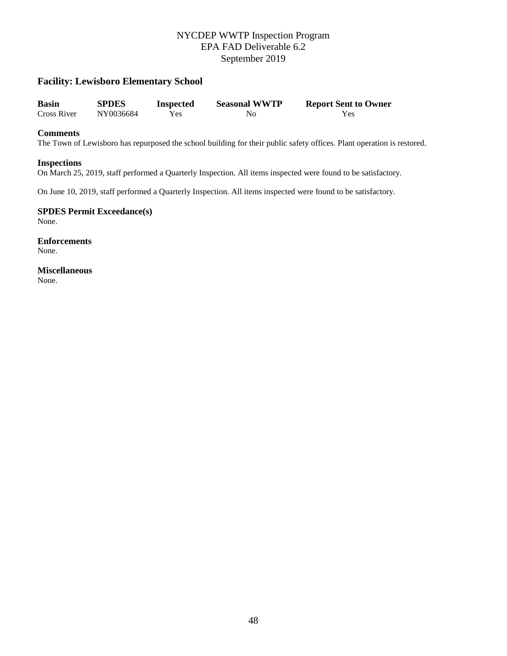## **Facility: Lewisboro Elementary School**

| <b>Basin</b> | <b>SPDES</b> | <b>Inspected</b> | <b>Seasonal WWTP</b> | <b>Report Sent to Owner</b> |
|--------------|--------------|------------------|----------------------|-----------------------------|
| Cross River  | NY0036684    | Yes              | No                   | Yes                         |

#### **Comments**

The Town of Lewisboro has repurposed the school building for their public safety offices. Plant operation is restored.

#### **Inspections**

On March 25, 2019, staff performed a Quarterly Inspection. All items inspected were found to be satisfactory.

On June 10, 2019, staff performed a Quarterly Inspection. All items inspected were found to be satisfactory.

**SPDES Permit Exceedance(s)** None.

**Enforcements** None.

**Miscellaneous**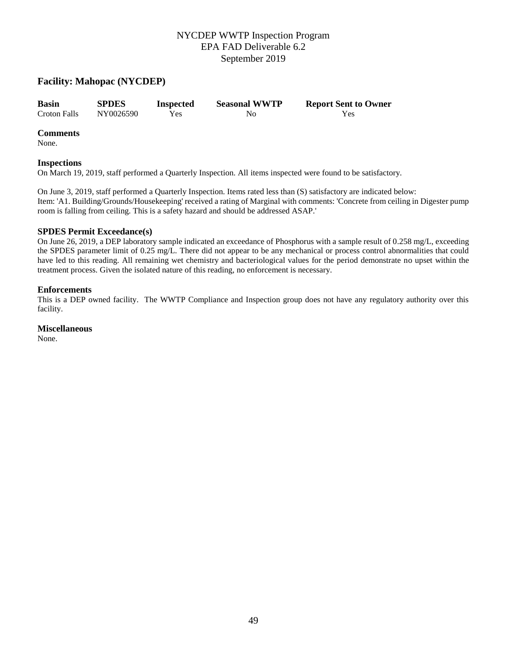## **Facility: Mahopac (NYCDEP)**

| <b>Basin</b> | <b>SPDES</b> | <b>Inspected</b> | <b>Seasonal WWTP</b> | <b>Report Sent to Owner</b> |
|--------------|--------------|------------------|----------------------|-----------------------------|
| Croton Falls | NY0026590    | Yes.             | No                   | Yes                         |

#### **Comments**

None.

#### **Inspections**

On March 19, 2019, staff performed a Quarterly Inspection. All items inspected were found to be satisfactory.

On June 3, 2019, staff performed a Quarterly Inspection. Items rated less than (S) satisfactory are indicated below: Item: 'A1. Building/Grounds/Housekeeping' received a rating of Marginal with comments: 'Concrete from ceiling in Digester pump room is falling from ceiling. This is a safety hazard and should be addressed ASAP.'

#### **SPDES Permit Exceedance(s)**

On June 26, 2019, a DEP laboratory sample indicated an exceedance of Phosphorus with a sample result of 0.258 mg/L, exceeding the SPDES parameter limit of 0.25 mg/L. There did not appear to be any mechanical or process control abnormalities that could have led to this reading. All remaining wet chemistry and bacteriological values for the period demonstrate no upset within the treatment process. Given the isolated nature of this reading, no enforcement is necessary.

#### **Enforcements**

This is a DEP owned facility. The WWTP Compliance and Inspection group does not have any regulatory authority over this facility.

#### **Miscellaneous**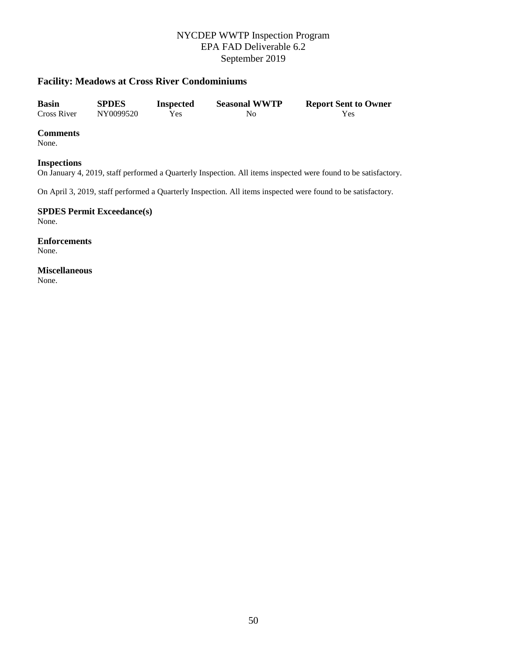## **Facility: Meadows at Cross River Condominiums**

| <b>Basin</b> | <b>SPDES</b> | <b>Inspected</b> | <b>Seasonal WWTP</b> | <b>Report Sent to Owner</b> |
|--------------|--------------|------------------|----------------------|-----------------------------|
| Cross River  | NY0099520    | Yes              | No                   | <b>Yes</b>                  |

#### **Comments**

None.

#### **Inspections**

On January 4, 2019, staff performed a Quarterly Inspection. All items inspected were found to be satisfactory.

On April 3, 2019, staff performed a Quarterly Inspection. All items inspected were found to be satisfactory.

**SPDES Permit Exceedance(s)** None.

**Enforcements** None.

**Miscellaneous**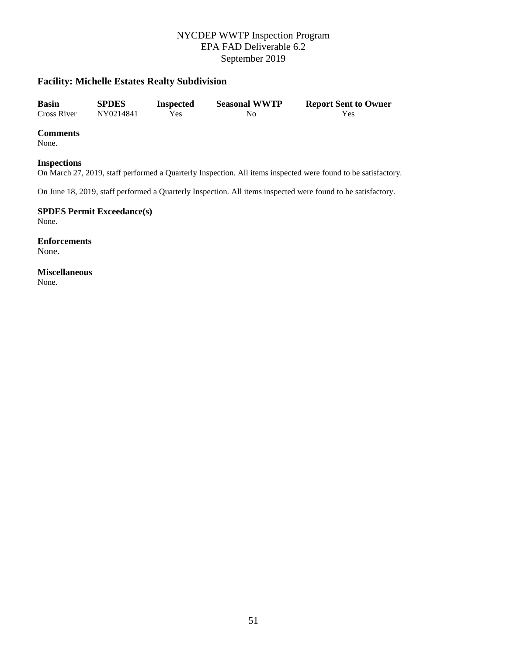## **Facility: Michelle Estates Realty Subdivision**

| <b>Basin</b> | <b>SPDES</b> | <b>Inspected</b> | <b>Seasonal WWTP</b> | <b>Report Sent to Owner</b> |
|--------------|--------------|------------------|----------------------|-----------------------------|
| Cross River  | NY0214841    | Yes              | No                   | Yes                         |

#### **Comments**

None.

#### **Inspections**

On March 27, 2019, staff performed a Quarterly Inspection. All items inspected were found to be satisfactory.

On June 18, 2019, staff performed a Quarterly Inspection. All items inspected were found to be satisfactory.

**SPDES Permit Exceedance(s)** None.

**Enforcements** None.

**Miscellaneous**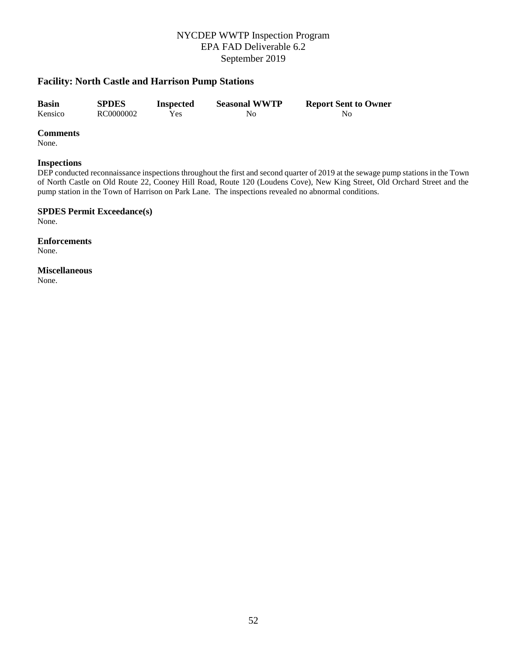## **Facility: North Castle and Harrison Pump Stations**

| <b>Basin</b> | <b>SPDES</b> | <b>Inspected</b> | <b>Seasonal WWTP</b> | <b>Report Sent to Owner</b> |
|--------------|--------------|------------------|----------------------|-----------------------------|
| Kensico      | RC0000002    | Yes              | No                   | No                          |

#### **Comments**

None.

#### **Inspections**

DEP conducted reconnaissance inspections throughout the first and second quarter of 2019 at the sewage pump stations in the Town of North Castle on Old Route 22, Cooney Hill Road, Route 120 (Loudens Cove), New King Street, Old Orchard Street and the pump station in the Town of Harrison on Park Lane. The inspections revealed no abnormal conditions.

#### **SPDES Permit Exceedance(s)**

None.

**Enforcements** None.

**Miscellaneous**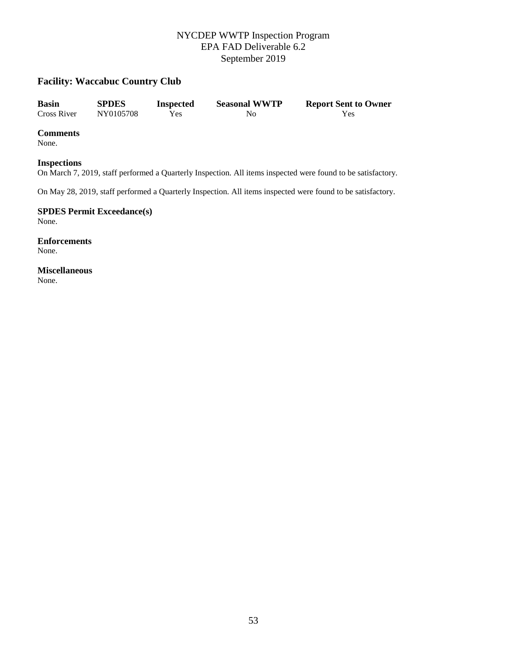## **Facility: Waccabuc Country Club**

| <b>Basin</b> | SPDES     | <b>Inspected</b> | <b>Seasonal WWTP</b> | <b>Report Sent to Owner</b> |
|--------------|-----------|------------------|----------------------|-----------------------------|
| Cross River  | NY0105708 | Yes.             | Nο                   | Yes                         |

**Comments**

None.

#### **Inspections**

On March 7, 2019, staff performed a Quarterly Inspection. All items inspected were found to be satisfactory.

On May 28, 2019, staff performed a Quarterly Inspection. All items inspected were found to be satisfactory.

**SPDES Permit Exceedance(s)** None.

**Enforcements** None.

**Miscellaneous**